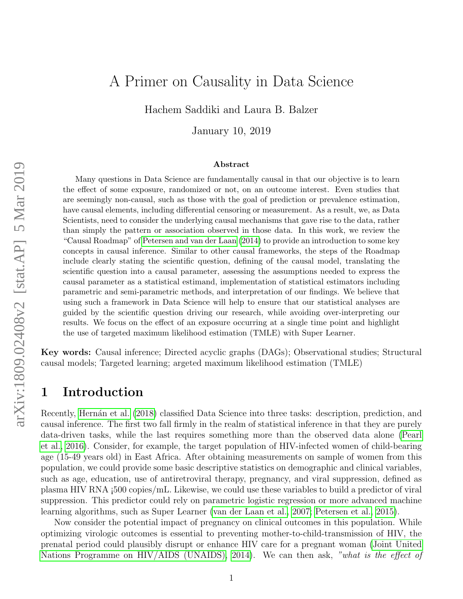# A Primer on Causality in Data Science

Hachem Saddiki and Laura B. Balzer

January 10, 2019

#### Abstract

Many questions in Data Science are fundamentally causal in that our objective is to learn the effect of some exposure, randomized or not, on an outcome interest. Even studies that are seemingly non-causal, such as those with the goal of prediction or prevalence estimation, have causal elements, including differential censoring or measurement. As a result, we, as Data Scientists, need to consider the underlying causal mechanisms that gave rise to the data, rather than simply the pattern or association observed in those data. In this work, we review the "Causal Roadmap" of [Petersen and van der Laan](#page-22-0) [\(2014\)](#page-22-0) to provide an introduction to some key concepts in causal inference. Similar to other causal frameworks, the steps of the Roadmap include clearly stating the scientific question, defining of the causal model, translating the scientific question into a causal parameter, assessing the assumptions needed to express the causal parameter as a statistical estimand, implementation of statistical estimators including parametric and semi-parametric methods, and interpretation of our findings. We believe that using such a framework in Data Science will help to ensure that our statistical analyses are guided by the scientific question driving our research, while avoiding over-interpreting our results. We focus on the effect of an exposure occurring at a single time point and highlight the use of targeted maximum likelihood estimation (TMLE) with Super Learner.

Key words: Causal inference; Directed acyclic graphs (DAGs); Observational studies; Structural causal models; Targeted learning; argeted maximum likelihood estimation (TMLE)

### 1 Introduction

Recently, Hernán et al. [\(2018\)](#page-20-0) classified Data Science into three tasks: description, prediction, and causal inference. The first two fall firmly in the realm of statistical inference in that they are purely data-driven tasks, while the last requires something more than the observed data alone [\(Pearl](#page-22-1) [et al., 2016\)](#page-22-1). Consider, for example, the target population of HIV-infected women of child-bearing age (15-49 years old) in East Africa. After obtaining measurements on sample of women from this population, we could provide some basic descriptive statistics on demographic and clinical variables, such as age, education, use of antiretroviral therapy, pregnancy, and viral suppression, defined as plasma HIV RNA ¡500 copies/mL. Likewise, we could use these variables to build a predictor of viral suppression. This predictor could rely on parametric logistic regression or more advanced machine learning algorithms, such as Super Learner [\(van der Laan et al., 2007;](#page-25-0) [Petersen et al., 2015\)](#page-22-2).

Now consider the potential impact of pregnancy on clinical outcomes in this population. While optimizing virologic outcomes is essential to preventing mother-to-child-transmission of HIV, the prenatal period could plausibly disrupt or enhance HIV care for a pregnant woman [\(Joint United](#page-20-1) [Nations Programme on HIV/AIDS \(UNAIDS\), 2014\)](#page-20-1). We can then ask, "what is the effect of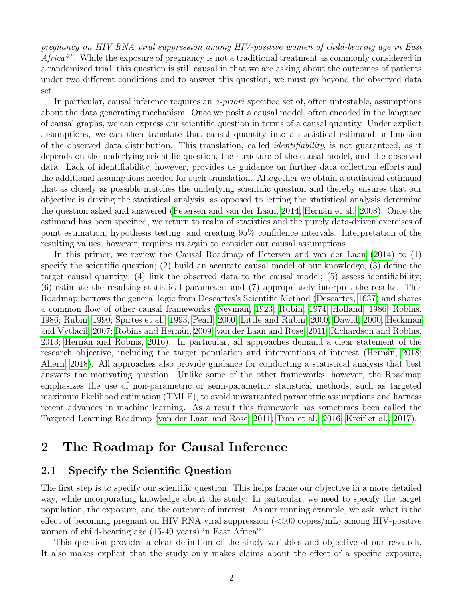pregnancy on HIV RNA viral suppression among HIV-positive women of child-bearing age in East Africa?". While the exposure of pregnancy is not a traditional treatment as commonly considered in a randomized trial, this question is still causal in that we are asking about the outcomes of patients under two different conditions and to answer this question, we must go beyond the observed data set.

In particular, causal inference requires an *a-priori* specified set of, often untestable, assumptions about the data generating mechanism. Once we posit a causal model, often encoded in the language of causal graphs, we can express our scientific question in terms of a causal quantity. Under explicit assumptions, we can then translate that causal quantity into a statistical estimand, a function of the observed data distribution. This translation, called identifiability, is not guaranteed, as it depends on the underlying scientific question, the structure of the causal model, and the observed data. Lack of identifiability, however, provides us guidance on further data collection efforts and the additional assumptions needed for such translation. Altogether we obtain a statistical estimand that as closely as possible matches the underlying scientific question and thereby ensures that our objective is driving the statistical analysis, as opposed to letting the statistical analysis determine the question asked and answered [\(Petersen and van der Laan, 2014;](#page-22-0) Hernán et al., 2008). Once the estimand has been specified, we return to realm of statistics and the purely data-driven exercises of point estimation, hypothesis testing, and creating 95% confidence intervals. Interpretation of the resulting values, however, requires us again to consider our causal assumptions.

In this primer, we review the Causal Roadmap of [Petersen and van der Laan](#page-22-0) [\(2014\)](#page-22-0) to (1) specify the scientific question; (2) build an accurate causal model of our knowledge; (3) define the target causal quantity; (4) link the observed data to the causal model; (5) assess identifiability; (6) estimate the resulting statistical parameter; and (7) appropriately interpret the results. This Roadmap borrows the general logic from Descartes's Scientific Method [\(Descartes, 1637\)](#page-18-0) and shares a common flow of other causal frameworks [\(Neyman, 1923;](#page-21-0) [Rubin, 1974;](#page-23-0) [Holland, 1986;](#page-20-3) [Robins,](#page-23-1) [1986;](#page-23-1) [Rubin, 1990;](#page-23-2) [Spirtes et al., 1993;](#page-24-0) [Pearl, 2000;](#page-21-1) [Little and Rubin, 2000;](#page-21-2) [Dawid, 2000;](#page-18-1) [Heckman](#page-19-0) [and Vytlacil, 2007;](#page-19-0) Robins and Hernán, 2009; [van der Laan and Rose, 2011;](#page-25-1) [Richardson and Robins,](#page-23-4) [2013;](#page-23-4) Hernán and Robins, 2016). In particular, all approaches demand a clear statement of the research objective, including the target population and interventions of interest (Hernán, 2018; [Ahern, 2018\)](#page-17-0). All approaches also provide guidance for conducting a statistical analysis that best answers the motivating question. Unlike some of the other frameworks, however, the Roadmap emphasizes the use of non-parametric or semi-parametric statistical methods, such as targeted maximum likelihood estimation (TMLE), to avoid unwarranted parametric assumptions and harness recent advances in machine learning. As a result this framework has sometimes been called the Targeted Learning Roadmap [\(van der Laan and Rose, 2011;](#page-25-1) [Tran et al., 2016;](#page-24-1) [Kreif et al., 2017\)](#page-20-4).

## 2 The Roadmap for Causal Inference

#### <span id="page-1-0"></span>2.1 Specify the Scientific Question

The first step is to specify our scientific question. This helps frame our objective in a more detailed way, while incorporating knowledge about the study. In particular, we need to specify the target population, the exposure, and the outcome of interest. As our running example, we ask, what is the effect of becoming pregnant on HIV RNA viral suppression (<500 copies/mL) among HIV-positive women of child-bearing age (15-49 years) in East Africa?

This question provides a clear definition of the study variables and objective of our research. It also makes explicit that the study only makes claims about the effect of a specific exposure,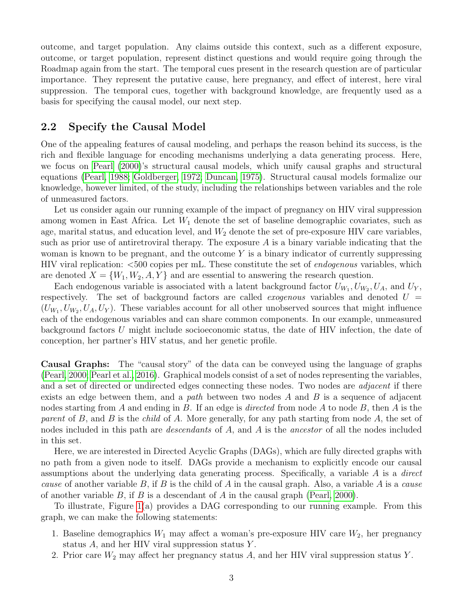outcome, and target population. Any claims outside this context, such as a different exposure, outcome, or target population, represent distinct questions and would require going through the Roadmap again from the start. The temporal cues present in the research question are of particular importance. They represent the putative cause, here pregnancy, and effect of interest, here viral suppression. The temporal cues, together with background knowledge, are frequently used as a basis for specifying the causal model, our next step.

#### <span id="page-2-0"></span>2.2 Specify the Causal Model

One of the appealing features of causal modeling, and perhaps the reason behind its success, is the rich and flexible language for encoding mechanisms underlying a data generating process. Here, we focus on [Pearl](#page-21-1) [\(2000\)](#page-21-1)'s structural causal models, which unify causal graphs and structural equations [\(Pearl, 1988;](#page-21-3) [Goldberger, 1972;](#page-19-3) [Duncan, 1975\)](#page-19-4). Structural causal models formalize our knowledge, however limited, of the study, including the relationships between variables and the role of unmeasured factors.

Let us consider again our running example of the impact of pregnancy on HIV viral suppression among women in East Africa. Let  $W_1$  denote the set of baseline demographic covariates, such as age, marital status, and education level, and  $W_2$  denote the set of pre-exposure HIV care variables, such as prior use of antiretroviral therapy. The exposure A is a binary variable indicating that the woman is known to be pregnant, and the outcome  $Y$  is a binary indicator of currently suppressing HIV viral replication: <500 copies per mL. These constitute the set of endogenous variables, which are denoted  $X = \{W_1, W_2, A, Y\}$  and are essential to answering the research question.

Each endogenous variable is associated with a latent background factor  $U_{W_1}, U_{W_2}, U_A$ , and  $U_Y$ , respectively. The set of background factors are called *exogenous* variables and denoted  $U =$  $(U_{W_1}, U_{W_2}, U_A, U_Y)$ . These variables account for all other unobserved sources that might influence each of the endogenous variables and can share common components. In our example, unmeasured background factors U might include socioeconomic status, the date of HIV infection, the date of conception, her partner's HIV status, and her genetic profile.

Causal Graphs: The "causal story" of the data can be conveyed using the language of graphs [\(Pearl, 2000;](#page-21-1) [Pearl et al., 2016\)](#page-22-1). Graphical models consist of a set of nodes representing the variables, and a set of directed or undirected edges connecting these nodes. Two nodes are *adjacent* if there exists an edge between them, and a path between two nodes  $A$  and  $B$  is a sequence of adjacent nodes starting from A and ending in B. If an edge is *directed* from node A to node B, then A is the parent of B, and B is the *child* of A. More generally, for any path starting from node A, the set of nodes included in this path are *descendants* of A, and A is the *ancestor* of all the nodes included in this set.

Here, we are interested in Directed Acyclic Graphs (DAGs), which are fully directed graphs with no path from a given node to itself. DAGs provide a mechanism to explicitly encode our causal assumptions about the underlying data generating process. Specifically, a variable A is a direct cause of another variable B, if B is the child of A in the causal graph. Also, a variable A is a cause of another variable  $B$ , if  $B$  is a descendant of  $A$  in the causal graph [\(Pearl, 2000\)](#page-21-1).

To illustrate, Figure [1\(](#page-3-0)a) provides a DAG corresponding to our running example. From this graph, we can make the following statements:

- 1. Baseline demographics  $W_1$  may affect a woman's pre-exposure HIV care  $W_2$ , her pregnancy status  $A$ , and her HIV viral suppression status Y.
- 2. Prior care  $W_2$  may affect her pregnancy status A, and her HIV viral suppression status Y.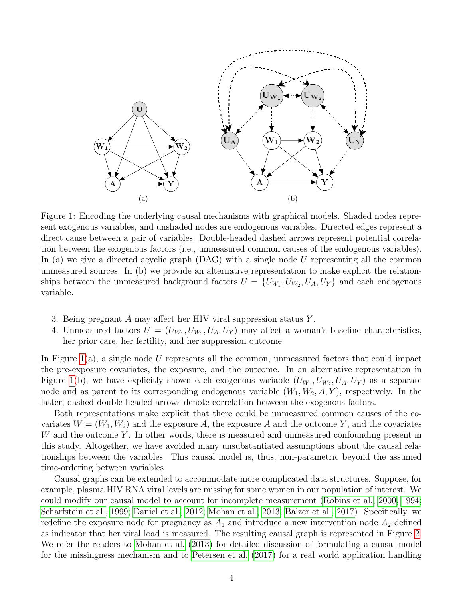<span id="page-3-0"></span>

Figure 1: Encoding the underlying causal mechanisms with graphical models. Shaded nodes represent exogenous variables, and unshaded nodes are endogenous variables. Directed edges represent a direct cause between a pair of variables. Double-headed dashed arrows represent potential correlation between the exogenous factors (i.e., unmeasured common causes of the endogenous variables). In (a) we give a directed acyclic graph  $(DAG)$  with a single node U representing all the common unmeasured sources. In (b) we provide an alternative representation to make explicit the relationships between the unmeasured background factors  $U = \{U_{W_1}, U_{W_2}, U_A, U_Y\}$  and each endogenous variable.

- 3. Being pregnant A may affect her HIV viral suppression status  $Y$ .
- 4. Unmeasured factors  $U = (U_{W_1}, U_{W_2}, U_A, U_Y)$  may affect a woman's baseline characteristics, her prior care, her fertility, and her suppression outcome.

In Figure  $1(a)$ , a single node U represents all the common, unmeasured factors that could impact the pre-exposure covariates, the exposure, and the outcome. In an alternative representation in Figure [1\(](#page-3-0)b), we have explicitly shown each exogenous variable  $(U_{W_1}, U_{W_2}, U_A, U_Y)$  as a separate node and as parent to its corresponding endogenous variable  $(W_1, W_2, A, Y)$ , respectively. In the latter, dashed double-headed arrows denote correlation between the exogenous factors.

Both representations make explicit that there could be unmeasured common causes of the covariates  $W = (W_1, W_2)$  and the exposure A, the exposure A and the outcome Y, and the covariates  $W$  and the outcome Y. In other words, there is measured and unmeasured confounding present in this study. Altogether, we have avoided many unsubstantiated assumptions about the causal relationships between the variables. This causal model is, thus, non-parametric beyond the assumed time-ordering between variables.

Causal graphs can be extended to accommodate more complicated data structures. Suppose, for example, plasma HIV RNA viral levels are missing for some women in our population of interest. We could modify our causal model to account for incomplete measurement [\(Robins et al., 2000,](#page-23-5) [1994;](#page-23-6) [Scharfstein et al., 1999;](#page-24-2) [Daniel et al., 2012;](#page-18-2) [Mohan et al., 2013;](#page-21-4) [Balzer et al., 2017\)](#page-17-1). Specifically, we redefine the exposure node for pregnancy as  $A_1$  and introduce a new intervention node  $A_2$  defined as indicator that her viral load is measured. The resulting causal graph is represented in Figure [2.](#page-4-0) We refer the readers to [Mohan et al.](#page-21-4) [\(2013\)](#page-21-4) for detailed discussion of formulating a causal model for the missingness mechanism and to [Petersen et al.](#page-22-3) [\(2017\)](#page-22-3) for a real world application handling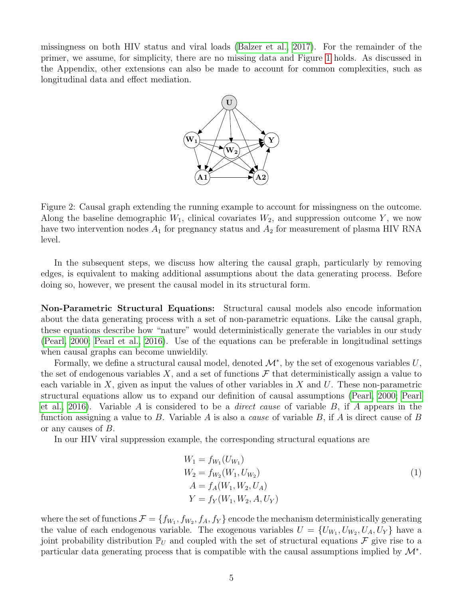<span id="page-4-0"></span>missingness on both HIV status and viral loads [\(Balzer et al., 2017\)](#page-17-1). For the remainder of the primer, we assume, for simplicity, there are no missing data and Figure [1](#page-3-0) holds. As discussed in the Appendix, other extensions can also be made to account for common complexities, such as longitudinal data and effect mediation.



Figure 2: Causal graph extending the running example to account for missingness on the outcome. Along the baseline demographic  $W_1$ , clinical covariates  $W_2$ , and suppression outcome Y, we now have two intervention nodes  $A_1$  for pregnancy status and  $A_2$  for measurement of plasma HIV RNA level.

In the subsequent steps, we discuss how altering the causal graph, particularly by removing edges, is equivalent to making additional assumptions about the data generating process. Before doing so, however, we present the causal model in its structural form.

Non-Parametric Structural Equations: Structural causal models also encode information about the data generating process with a set of non-parametric equations. Like the causal graph, these equations describe how "nature" would deterministically generate the variables in our study [\(Pearl, 2000;](#page-21-1) [Pearl et al., 2016\)](#page-22-1). Use of the equations can be preferable in longitudinal settings when causal graphs can become unwieldily.

Formally, we define a structural causal model, denoted  $\mathcal{M}^*$ , by the set of exogenous variables  $U$ , the set of endogenous variables X, and a set of functions  $\mathcal F$  that deterministically assign a value to each variable in  $X$ , given as input the values of other variables in  $X$  and  $U$ . These non-parametric structural equations allow us to expand our definition of causal assumptions [\(Pearl, 2000;](#page-21-1) [Pearl](#page-22-1) [et al., 2016\)](#page-22-1). Variable A is considered to be a *direct cause* of variable B, if A appears in the function assigning a value to B. Variable A is also a *cause* of variable B, if A is direct cause of B or any causes of B.

In our HIV viral suppression example, the corresponding structural equations are

<span id="page-4-1"></span>
$$
W_1 = f_{W_1}(U_{W_1})
$$
  
\n
$$
W_2 = f_{W_2}(W_1, U_{W_2})
$$
  
\n
$$
A = f_A(W_1, W_2, U_A)
$$
  
\n
$$
Y = f_Y(W_1, W_2, A, U_Y)
$$
\n(1)

where the set of functions  $\mathcal{F} = \{f_{W_1}, f_{W_2}, f_A, f_Y\}$  encode the mechanism deterministically generating the value of each endogenous variable. The exogenous variables  $U = \{U_{W_1}, U_{W_2}, U_A, U_Y\}$  have a joint probability distribution  $\mathbb{P}_U$  and coupled with the set of structural equations F give rise to a particular data generating process that is compatible with the causal assumptions implied by  $\mathcal{M}^*$ .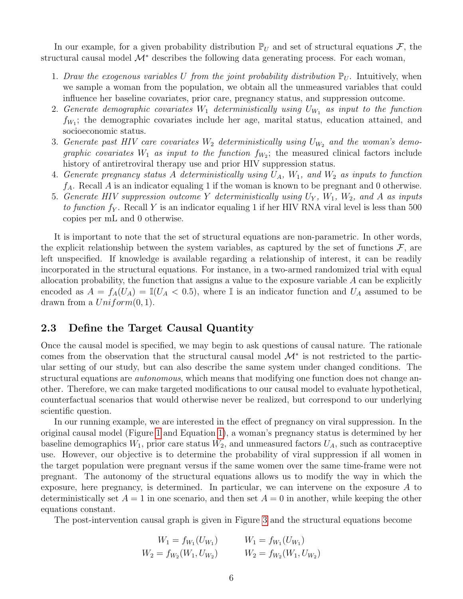In our example, for a given probability distribution  $\mathbb{P}_U$  and set of structural equations  $\mathcal{F}$ , the structural causal model  $\mathcal{M}^*$  describes the following data generating process. For each woman,

- 1. Draw the exogenous variables U from the joint probability distribution  $\mathbb{P}_U$ . Intuitively, when we sample a woman from the population, we obtain all the unmeasured variables that could influence her baseline covariates, prior care, pregnancy status, and suppression outcome.
- 2. Generate demographic covariates  $W_1$  deterministically using  $U_{W_1}$  as input to the function  $f_{W_1}$ ; the demographic covariates include her age, marital status, education attained, and socioeconomic status.
- 3. Generate past HIV care covariates  $W_2$  deterministically using  $U_{W_2}$  and the woman's demographic covariates  $W_1$  as input to the function  $f_{W_2}$ ; the measured clinical factors include history of antiretroviral therapy use and prior HIV suppression status.
- 4. Generate pregnancy status A deterministically using  $U_A$ ,  $W_1$ , and  $W_2$  as inputs to function  $f_A$ . Recall A is an indicator equaling 1 if the woman is known to be pregnant and 0 otherwise.
- 5. Generate HIV suppression outcome Y deterministically using  $U_Y$ ,  $W_1$ ,  $W_2$ , and A as inputs to function  $f_Y$ . Recall Y is an indicator equaling 1 if her HIV RNA viral level is less than 500 copies per mL and 0 otherwise.

It is important to note that the set of structural equations are non-parametric. In other words, the explicit relationship between the system variables, as captured by the set of functions  $\mathcal{F}$ , are left unspecified. If knowledge is available regarding a relationship of interest, it can be readily incorporated in the structural equations. For instance, in a two-armed randomized trial with equal allocation probability, the function that assigns a value to the exposure variable  $A$  can be explicitly encoded as  $A = f_A(U_A) = \mathbb{I}(U_A < 0.5)$ , where I is an indicator function and  $U_A$  assumed to be drawn from a  $Uniform(0, 1)$ .

### <span id="page-5-0"></span>2.3 Define the Target Causal Quantity

Once the causal model is specified, we may begin to ask questions of causal nature. The rationale comes from the observation that the structural causal model  $\mathcal{M}^*$  is not restricted to the particular setting of our study, but can also describe the same system under changed conditions. The structural equations are *autonomous*, which means that modifying one function does not change another. Therefore, we can make targeted modifications to our causal model to evaluate hypothetical, counterfactual scenarios that would otherwise never be realized, but correspond to our underlying scientific question.

In our running example, we are interested in the effect of pregnancy on viral suppression. In the original causal model (Figure [1](#page-3-0) and Equation [1\)](#page-4-1), a woman's pregnancy status is determined by her baseline demographics  $W_1$ , prior care status  $W_2$ , and unmeasured factors  $U_A$ , such as contraceptive use. However, our objective is to determine the probability of viral suppression if all women in the target population were pregnant versus if the same women over the same time-frame were not pregnant. The autonomy of the structural equations allows us to modify the way in which the exposure, here pregnancy, is determined. In particular, we can intervene on the exposure A to deterministically set  $A = 1$  in one scenario, and then set  $A = 0$  in another, while keeping the other equations constant.

The post-intervention causal graph is given in Figure [3](#page-6-0) and the structural equations become

$$
W_1 = f_{W_1}(U_{W_1})
$$
  
\n
$$
W_2 = f_{W_2}(W_1, U_{W_2})
$$
  
\n
$$
W_3 = f_{W_2}(W_1, U_{W_2})
$$
  
\n
$$
W_4 = f_{W_2}(W_1, U_{W_2})
$$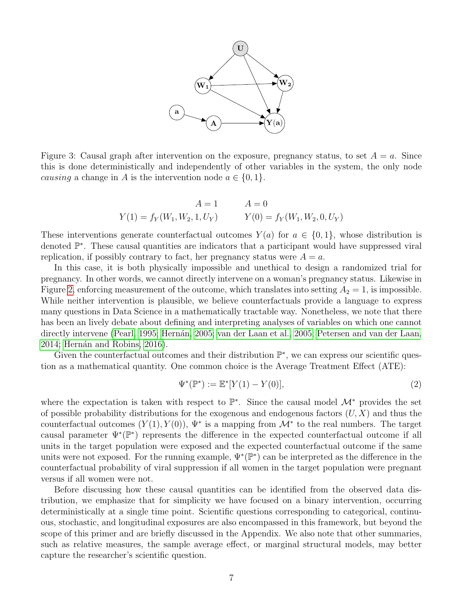

<span id="page-6-0"></span>Figure 3: Causal graph after intervention on the exposure, pregnancy status, to set  $A = a$ . Since this is done deterministically and independently of other variables in the system, the only node *causing* a change in A is the intervention node  $a \in \{0, 1\}$ .

$$
A = 1 \t A = 0
$$
  
 
$$
Y(1) = f_Y(W_1, W_2, 1, U_Y) \t Y(0) = f_Y(W_1, W_2, 0, U_Y)
$$

These interventions generate counterfactual outcomes  $Y(a)$  for  $a \in \{0,1\}$ , whose distribution is denoted  $\mathbb{P}^*$ . These causal quantities are indicators that a participant would have suppressed viral replication, if possibly contrary to fact, her pregnancy status were  $A = a$ .

In this case, it is both physically impossible and unethical to design a randomized trial for pregnancy. In other words, we cannot directly intervene on a woman's pregnancy status. Likewise in Figure [2,](#page-4-0) enforcing measurement of the outcome, which translates into setting  $A_2 = 1$ , is impossible. While neither intervention is plausible, we believe counterfactuals provide a language to express many questions in Data Science in a mathematically tractable way. Nonetheless, we note that there has been an lively debate about defining and interpreting analyses of variables on which one cannot directly intervene [\(Pearl, 1995;](#page-21-5) Hernán, 2005; [van der Laan et al., 2005;](#page-25-2) [Petersen and van der Laan,](#page-22-0) [2014;](#page-22-0) Hernán and Robins, 2016).

Given the counterfactual outcomes and their distribution  $\mathbb{P}^*$ , we can express our scientific question as a mathematical quantity. One common choice is the Average Treatment Effect (ATE):

$$
\Psi^*(\mathbb{P}^*) := \mathbb{E}^*[Y(1) - Y(0)],\tag{2}
$$

where the expectation is taken with respect to  $\mathbb{P}^*$ . Since the causal model  $\mathcal{M}^*$  provides the set of possible probability distributions for the exogenous and endogenous factors  $(U, X)$  and thus the counterfactual outcomes  $(Y(1), Y(0))$ ,  $\Psi^*$  is a mapping from  $\mathcal{M}^*$  to the real numbers. The target causal parameter  $\Psi^*(\mathbb{P}^*)$  represents the difference in the expected counterfactual outcome if all units in the target population were exposed and the expected counterfactual outcome if the same units were not exposed. For the running example,  $\Psi^*(\mathbb{P}^*)$  can be interpreted as the difference in the counterfactual probability of viral suppression if all women in the target population were pregnant versus if all women were not.

Before discussing how these causal quantities can be identified from the observed data distribution, we emphasize that for simplicity we have focused on a binary intervention, occurring deterministically at a single time point. Scientific questions corresponding to categorical, continuous, stochastic, and longitudinal exposures are also encompassed in this framework, but beyond the scope of this primer and are briefly discussed in the Appendix. We also note that other summaries, such as relative measures, the sample average effect, or marginal structural models, may better capture the researcher's scientific question.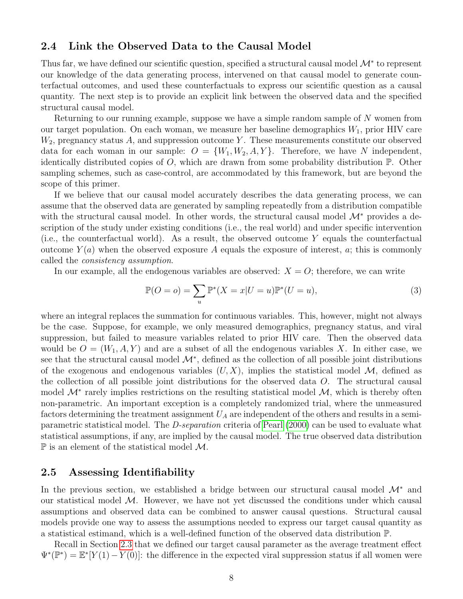#### <span id="page-7-0"></span>2.4 Link the Observed Data to the Causal Model

Thus far, we have defined our scientific question, specified a structural causal model  $\mathcal{M}^*$  to represent our knowledge of the data generating process, intervened on that causal model to generate counterfactual outcomes, and used these counterfactuals to express our scientific question as a causal quantity. The next step is to provide an explicit link between the observed data and the specified structural causal model.

Returning to our running example, suppose we have a simple random sample of N women from our target population. On each woman, we measure her baseline demographics  $W_1$ , prior HIV care  $W_2$ , pregnancy status A, and suppression outcome Y. These measurements constitute our observed data for each woman in our sample:  $O = \{W_1, W_2, A, Y\}$ . Therefore, we have N independent, identically distributed copies of  $O$ , which are drawn from some probability distribution  $\mathbb{P}$ . Other sampling schemes, such as case-control, are accommodated by this framework, but are beyond the scope of this primer.

If we believe that our causal model accurately describes the data generating process, we can assume that the observed data are generated by sampling repeatedly from a distribution compatible with the structural causal model. In other words, the structural causal model  $\mathcal{M}^*$  provides a description of the study under existing conditions (i.e., the real world) and under specific intervention (i.e., the counterfactual world). As a result, the observed outcome Y equals the counterfactual outcome  $Y(a)$  when the observed exposure A equals the exposure of interest, a; this is commonly called the consistency assumption.

In our example, all the endogenous variables are observed:  $X = O$ ; therefore, we can write

$$
\mathbb{P}(O = o) = \sum_{u} \mathbb{P}^*(X = x | U = u) \mathbb{P}^*(U = u),\tag{3}
$$

where an integral replaces the summation for continuous variables. This, however, might not always be the case. Suppose, for example, we only measured demographics, pregnancy status, and viral suppression, but failed to measure variables related to prior HIV care. Then the observed data would be  $O = (W_1, A, Y)$  and are a subset of all the endogenous variables X. In either case, we see that the structural causal model  $\mathcal{M}^*$ , defined as the collection of all possible joint distributions of the exogenous and endogenous variables  $(U, X)$ , implies the statistical model M, defined as the collection of all possible joint distributions for the observed data O. The structural causal model  $\mathcal{M}^*$  rarely implies restrictions on the resulting statistical model  $\mathcal{M}$ , which is thereby often non-parametric. An important exception is a completely randomized trial, where the unmeasured factors determining the treatment assignment  $U_A$  are independent of the others and results in a semiparametric statistical model. The D-separation criteria of [Pearl](#page-21-1) [\(2000\)](#page-21-1) can be used to evaluate what statistical assumptions, if any, are implied by the causal model. The true observed data distribution  $\mathbb P$  is an element of the statistical model  $\mathcal M$ .

#### <span id="page-7-1"></span>2.5 Assessing Identifiability

In the previous section, we established a bridge between our structural causal model  $\mathcal{M}^*$  and our statistical model  $M$ . However, we have not yet discussed the conditions under which causal assumptions and observed data can be combined to answer causal questions. Structural causal models provide one way to assess the assumptions needed to express our target causal quantity as a statistical estimand, which is a well-defined function of the observed data distribution P.

Recall in Section [2.3](#page-5-0) that we defined our target causal parameter as the average treatment effect  $\Psi^*(\mathbb{P}^*) = \mathbb{E}^*[Y(1) - Y(0)]$ : the difference in the expected viral suppression status if all women were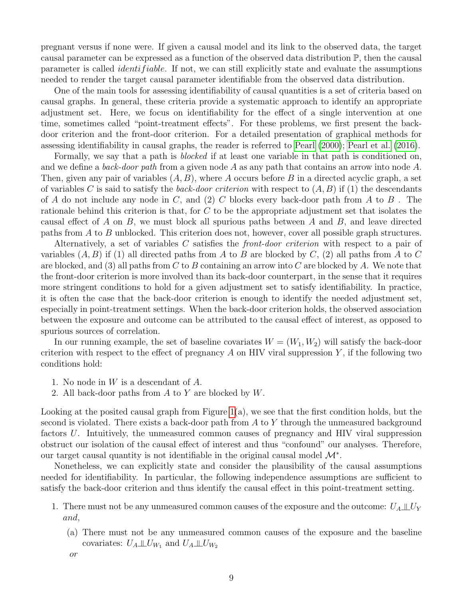pregnant versus if none were. If given a causal model and its link to the observed data, the target causal parameter can be expressed as a function of the observed data distribution P, then the causal parameter is called *identifiable*. If not, we can still explicitly state and evaluate the assumptions needed to render the target causal parameter identifiable from the observed data distribution.

One of the main tools for assessing identifiability of causal quantities is a set of criteria based on causal graphs. In general, these criteria provide a systematic approach to identify an appropriate adjustment set. Here, we focus on identifiability for the effect of a single intervention at one time, sometimes called "point-treatment effects". For these problems, we first present the backdoor criterion and the front-door criterion. For a detailed presentation of graphical methods for assessing identifiability in causal graphs, the reader is referred to [Pearl](#page-21-1) [\(2000\)](#page-21-1); [Pearl et al.](#page-22-1) [\(2016\)](#page-22-1).

Formally, we say that a path is *blocked* if at least one variable in that path is conditioned on, and we define a back-door path from a given node A as any path that contains an arrow into node A. Then, given any pair of variables  $(A, B)$ , where A occurs before B in a directed acyclic graph, a set of variables C is said to satisfy the *back-door criterion* with respect to  $(A, B)$  if (1) the descendants of A do not include any node in C, and (2) C blocks every back-door path from A to B. rationale behind this criterion is that, for C to be the appropriate adjustment set that isolates the causal effect of A on B, we must block all spurious paths between A and B, and leave directed paths from A to B unblocked. This criterion does not, however, cover all possible graph structures.

Alternatively, a set of variables C satisfies the front-door criterion with respect to a pair of variables  $(A, B)$  if (1) all directed paths from A to B are blocked by C, (2) all paths from A to C are blocked, and (3) all paths from C to B containing an arrow into C are blocked by A. We note that the front-door criterion is more involved than its back-door counterpart, in the sense that it requires more stringent conditions to hold for a given adjustment set to satisfy identifiability. In practice, it is often the case that the back-door criterion is enough to identify the needed adjustment set, especially in point-treatment settings. When the back-door criterion holds, the observed association between the exposure and outcome can be attributed to the causal effect of interest, as opposed to spurious sources of correlation.

In our running example, the set of baseline covariates  $W = (W_1, W_2)$  will satisfy the back-door criterion with respect to the effect of pregnancy  $A$  on HIV viral suppression  $Y$ , if the following two conditions hold:

- 1. No node in W is a descendant of A.
- 2. All back-door paths from  $A$  to  $Y$  are blocked by  $W$ .

Looking at the posited causal graph from Figure  $1(a)$ , we see that the first condition holds, but the second is violated. There exists a back-door path from  $A$  to  $Y$  through the unmeasured background factors U. Intuitively, the unmeasured common causes of pregnancy and HIV viral suppression obstruct our isolation of the causal effect of interest and thus "confound" our analyses. Therefore, our target causal quantity is not identifiable in the original causal model  $\mathcal{M}^*$ .

Nonetheless, we can explicitly state and consider the plausibility of the causal assumptions needed for identifiability. In particular, the following independence assumptions are sufficient to satisfy the back-door criterion and thus identify the causal effect in this point-treatment setting.

- 1. There must not be any unmeasured common causes of the exposure and the outcome:  $U_A \perp\!\!\!\perp U_Y$ and,
	- (a) There must not be any unmeasured common causes of the exposure and the baseline covariates:  $U_A \perp \!\!\! \perp U_{W_1}$  and  $U_A \perp \!\!\! \perp U_{W_2}$
	- or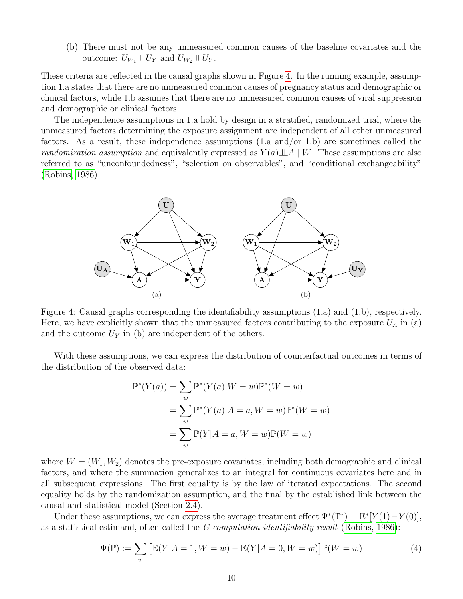(b) There must not be any unmeasured common causes of the baseline covariates and the outcome:  $U_{W_1} \perp\!\!\!\perp U_Y$  and  $U_{W_2} \perp\!\!\!\perp U_Y$ .

These criteria are reflected in the causal graphs shown in Figure [4.](#page-9-0) In the running example, assumption 1.a states that there are no unmeasured common causes of pregnancy status and demographic or clinical factors, while 1.b assumes that there are no unmeasured common causes of viral suppression and demographic or clinical factors.

The independence assumptions in 1.a hold by design in a stratified, randomized trial, where the unmeasured factors determining the exposure assignment are independent of all other unmeasured factors. As a result, these independence assumptions (1.a and/or 1.b) are sometimes called the randomization assumption and equivalently expressed as  $Y(a) \perp A \mid W$ . These assumptions are also referred to as "unconfoundedness", "selection on observables", and "conditional exchangeability" [\(Robins, 1986\)](#page-23-1).

<span id="page-9-0"></span>

Figure 4: Causal graphs corresponding the identifiability assumptions (1.a) and (1.b), respectively. Here, we have explicitly shown that the unmeasured factors contributing to the exposure  $U_A$  in (a) and the outcome  $U_Y$  in (b) are independent of the others.

With these assumptions, we can express the distribution of counterfactual outcomes in terms of the distribution of the observed data:

$$
\mathbb{P}^*(Y(a)) = \sum_{w} \mathbb{P}^*(Y(a)|W=w)\mathbb{P}^*(W=w)
$$

$$
= \sum_{w} \mathbb{P}^*(Y(a)|A=a, W=w)\mathbb{P}^*(W=w)
$$

$$
= \sum_{w} \mathbb{P}(Y|A=a, W=w)\mathbb{P}(W=w)
$$

where  $W = (W_1, W_2)$  denotes the pre-exposure covariates, including both demographic and clinical factors, and where the summation generalizes to an integral for continuous covariates here and in all subsequent expressions. The first equality is by the law of iterated expectations. The second equality holds by the randomization assumption, and the final by the established link between the causal and statistical model (Section [2.4\)](#page-7-0).

Under these assumptions, we can express the average treatment effect  $\Psi^*(\mathbb{P}^*) = \mathbb{E}^*[Y(1) - Y(0)],$ as a statistical estimand, often called the G-computation identifiability result [\(Robins, 1986\)](#page-23-1):

<span id="page-9-1"></span>
$$
\Psi(\mathbb{P}) := \sum_{w} \left[ \mathbb{E}(Y|A=1, W=w) - \mathbb{E}(Y|A=0, W=w) \right] \mathbb{P}(W=w)
$$
\n(4)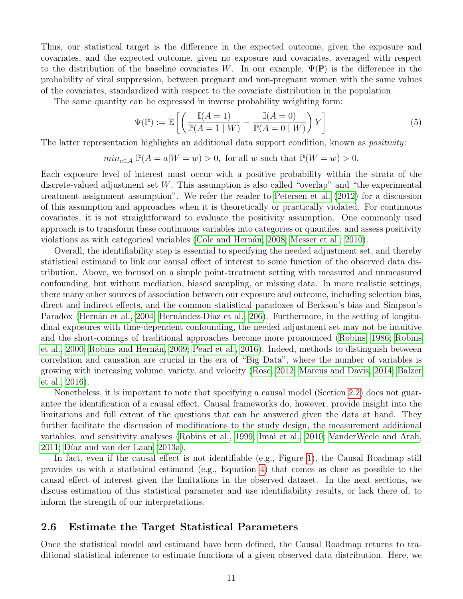Thus, our statistical target is the difference in the expected outcome, given the exposure and covariates, and the expected outcome, given no exposure and covariates, averaged with respect to the distribution of the baseline covariates W. In our example,  $\Psi(\mathbb{P})$  is the difference in the probability of viral suppression, between pregnant and non-pregnant women with the same values of the covariates, standardized with respect to the covariate distribution in the population.

The same quantity can be expressed in inverse probability weighting form:

<span id="page-10-0"></span>
$$
\Psi(\mathbb{P}) := \mathbb{E}\left[\left(\frac{\mathbb{I}(A=1)}{\mathbb{P}(A=1\mid W)} - \frac{\mathbb{I}(A=0)}{\mathbb{P}(A=0\mid W)}\right)Y\right]
$$
(5)

The latter representation highlights an additional data support condition, known as *positivity*:

$$
min_{a \in \mathcal{A}} \mathbb{P}(A = a | W = w) > 0
$$
, for all w such that  $\mathbb{P}(W = w) > 0$ .

Each exposure level of interest must occur with a positive probability within the strata of the discrete-valued adjustment set W. This assumption is also called "overlap" and "the experimental treatment assignment assumption". We refer the reader to [Petersen et al.](#page-22-4) [\(2012\)](#page-22-4) for a discussion of this assumption and approaches when it is theoretically or practically violated. For continuous covariates, it is not straightforward to evaluate the positivity assumption. One commonly used approach is to transform these continuous variables into categories or quantiles, and assess positivity violations as with categorical variables (Cole and Hernán, 2008; [Messer et al., 2010\)](#page-21-6).

Overall, the identifiability step is essential to specifying the needed adjustment set, and thereby statistical estimand to link our causal effect of interest to some function of the observed data distribution. Above, we focused on a simple point-treatment setting with measured and unmeasured confounding, but without mediation, biased sampling, or missing data. In more realistic settings, there many other sources of association between our exposure and outcome, including selection bias, direct and indirect effects, and the common statistical paradoxes of Berkson's bias and Simpson's Paradox (Hernán et al., 2004; Hernández-Díaz et al., 206). Furthermore, in the setting of longitudinal exposures with time-dependent confounding, the needed adjustment set may not be intuitive and the short-comings of traditional approaches become more pronounced [\(Robins, 1986;](#page-23-1) [Robins](#page-23-5) [et al., 2000;](#page-23-5) Robins and Hernán, 2009; [Pearl et al., 2016\)](#page-22-1). Indeed, methods to distinguish between correlation and causation are crucial in the era of "Big Data", where the number of variables is growing with increasing volume, variety, and velocity [\(Rose, 2012;](#page-23-7) [Marcus and Davis, 2014;](#page-21-7) [Balzer](#page-17-2) [et al., 2016\)](#page-17-2).

Nonetheless, it is important to note that specifying a causal model (Section [2.2\)](#page-2-0) does not guarantee the identification of a causal effect. Causal frameworks do, however, provide insight into the limitations and full extent of the questions that can be answered given the data at hand. They further facilitate the discussion of modifications to the study design, the measurement additional variables, and sensitivity analyses [\(Robins et al., 1999;](#page-23-8) [Imai et al., 2010;](#page-20-6) [VanderWeele and Arah,](#page-25-3)  $2011$ ; Díaz and van der Laan,  $2013a$ ).

In fact, even if the causal effect is not identifiable (e.g., Figure [1\)](#page-3-0), the Causal Roadmap still provides us with a statistical estimand (e.g., Equation [4\)](#page-9-1) that comes as close as possible to the causal effect of interest given the limitations in the observed dataset. In the next sections, we discuss estimation of this statistical parameter and use identifiability results, or lack there of, to inform the strength of our interpretations.

#### 2.6 Estimate the Target Statistical Parameters

Once the statistical model and estimand have been defined, the Causal Roadmap returns to traditional statistical inference to estimate functions of a given observed data distribution. Here, we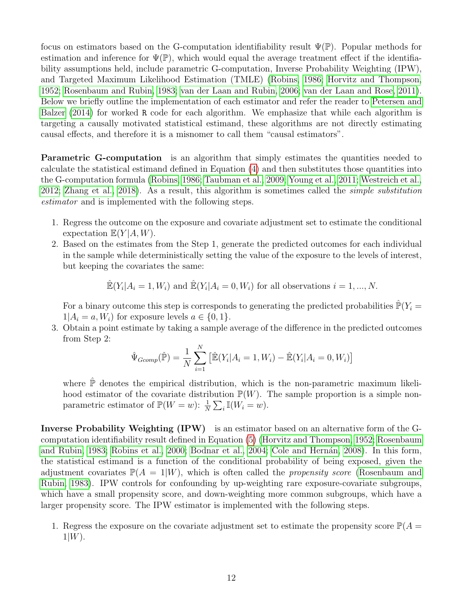focus on estimators based on the G-computation identifiability result  $\Psi(\mathbb{P})$ . Popular methods for estimation and inference for  $\Psi(\mathbb{P})$ , which would equal the average treatment effect if the identifiability assumptions held, include parametric G-computation, Inverse Probability Weighting (IPW), and Targeted Maximum Likelihood Estimation (TMLE) [\(Robins, 1986;](#page-23-1) [Horvitz and Thompson,](#page-20-7) [1952;](#page-20-7) [Rosenbaum and Rubin, 1983;](#page-23-9) [van der Laan and Rubin, 2006;](#page-25-4) [van der Laan and Rose, 2011\)](#page-25-1). Below we briefly outline the implementation of each estimator and refer the reader to [Petersen and](#page-22-5) [Balzer](#page-22-5) [\(2014\)](#page-22-5) for worked R code for each algorithm. We emphasize that while each algorithm is targeting a causally motivated statistical estimand, these algorithms are not directly estimating causal effects, and therefore it is a misnomer to call them "causal estimators".

Parametric G-computation is an algorithm that simply estimates the quantities needed to calculate the statistical estimand defined in Equation [\(4\)](#page-9-1) and then substitutes those quantities into the G-computation formula [\(Robins, 1986;](#page-23-1) [Taubman et al., 2009;](#page-24-3) [Young et al., 2011;](#page-25-5) [Westreich et al.,](#page-25-6) [2012;](#page-25-6) [Zhang et al., 2018\)](#page-25-7). As a result, this algorithm is sometimes called the simple substitution estimator and is implemented with the following steps.

- 1. Regress the outcome on the exposure and covariate adjustment set to estimate the conditional expectation  $\mathbb{E}(Y|A, W)$ .
- 2. Based on the estimates from the Step 1, generate the predicted outcomes for each individual in the sample while deterministically setting the value of the exposure to the levels of interest, but keeping the covariates the same:

$$
\mathbb{E}(Y_i|A_i=1, W_i) \text{ and } \mathbb{E}(Y_i|A_i=0, W_i) \text{ for all observations } i=1, ..., N.
$$

For a binary outcome this step is corresponds to generating the predicted probabilities  $\mathbb{P}(Y_i =$  $1|A_i = a, W_i$  for exposure levels  $a \in \{0, 1\}.$ 

3. Obtain a point estimate by taking a sample average of the difference in the predicted outcomes from Step 2:

$$
\hat{\Psi}_{Gcomp}(\hat{\mathbb{P}}) = \frac{1}{N} \sum_{i=1}^{N} \left[ \hat{\mathbb{E}}(Y_i | A_i = 1, W_i) - \hat{\mathbb{E}}(Y_i | A_i = 0, W_i) \right]
$$

where  $\hat{\mathbb{P}}$  denotes the empirical distribution, which is the non-parametric maximum likelihood estimator of the covariate distribution  $\mathbb{P}(W)$ . The sample proportion is a simple nonparametric estimator of  $\mathbb{P}(W = w)$ :  $\frac{1}{N} \sum_i \mathbb{I}(W_i = w)$ .

Inverse Probability Weighting (IPW) is an estimator based on an alternative form of the Gcomputation identifiability result defined in Equation [\(5\)](#page-10-0) [\(Horvitz and Thompson, 1952;](#page-20-7) [Rosenbaum](#page-23-9) [and Rubin, 1983;](#page-23-9) [Robins et al., 2000;](#page-23-5) [Bodnar et al., 2004;](#page-18-4) Cole and Hernán, 2008). In this form, the statistical estimand is a function of the conditional probability of being exposed, given the adjustment covariates  $\mathbb{P}(A = 1|W)$ , which is often called the *propensity score* [\(Rosenbaum and](#page-23-9) [Rubin, 1983\)](#page-23-9). IPW controls for confounding by up-weighting rare exposure-covariate subgroups, which have a small propensity score, and down-weighting more common subgroups, which have a larger propensity score. The IPW estimator is implemented with the following steps.

1. Regress the exposure on the covariate adjustment set to estimate the propensity score  $\mathbb{P}(A =$  $1|W$ ).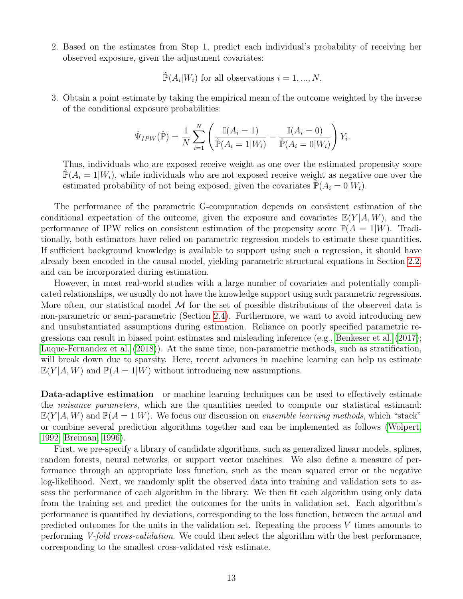2. Based on the estimates from Step 1, predict each individual's probability of receiving her observed exposure, given the adjustment covariates:

 $\mathbb{P}(A_i|W_i)$  for all observations  $i = 1, ..., N$ .

3. Obtain a point estimate by taking the empirical mean of the outcome weighted by the inverse of the conditional exposure probabilities:

$$
\hat{\Psi}_{IPW}(\hat{\mathbb{P}}) = \frac{1}{N} \sum_{i=1}^{N} \left( \frac{\mathbb{I}(A_i = 1)}{\hat{\mathbb{P}}(A_i = 1|W_i)} - \frac{\mathbb{I}(A_i = 0)}{\hat{\mathbb{P}}(A_i = 0|W_i)} \right) Y_i.
$$

Thus, individuals who are exposed receive weight as one over the estimated propensity score  $\mathbb{P}(A_i = 1|W_i)$ , while individuals who are not exposed receive weight as negative one over the estimated probability of not being exposed, given the covariates  $\mathbb{P}(A_i = 0|W_i)$ .

The performance of the parametric G-computation depends on consistent estimation of the conditional expectation of the outcome, given the exposure and covariates  $\mathbb{E}(Y|A, W)$ , and the performance of IPW relies on consistent estimation of the propensity score  $\mathbb{P}(A = 1|W)$ . Traditionally, both estimators have relied on parametric regression models to estimate these quantities. If sufficient background knowledge is available to support using such a regression, it should have already been encoded in the causal model, yielding parametric structural equations in Section [2.2,](#page-2-0) and can be incorporated during estimation.

However, in most real-world studies with a large number of covariates and potentially complicated relationships, we usually do not have the knowledge support using such parametric regressions. More often, our statistical model  $\cal{M}$  for the set of possible distributions of the observed data is non-parametric or semi-parametric (Section [2.4\)](#page-7-0). Furthermore, we want to avoid introducing new and unsubstantiated assumptions during estimation. Reliance on poorly specified parametric regressions can result in biased point estimates and misleading inference (e.g., [Benkeser et al.](#page-18-5) [\(2017\)](#page-18-5); [Luque-Fernandez et al.](#page-21-8) [\(2018\)](#page-21-8)). At the same time, non-parametric methods, such as stratification, will break down due to sparsity. Here, recent advances in machine learning can help us estimate  $\mathbb{E}(Y|A, W)$  and  $\mathbb{P}(A = 1|W)$  without introducing new assumptions.

Data-adaptive estimation or machine learning techniques can be used to effectively estimate the *nuisance parameters*, which are the quantities needed to compute our statistical estimand:  $E(Y|A, W)$  and  $\mathbb{P}(A = 1|W)$ . We focus our discussion on ensemble learning methods, which "stack" or combine several prediction algorithms together and can be implemented as follows [\(Wolpert,](#page-25-8) [1992;](#page-25-8) [Breiman, 1996\)](#page-18-6).

First, we pre-specify a library of candidate algorithms, such as generalized linear models, splines, random forests, neural networks, or support vector machines. We also define a measure of performance through an appropriate loss function, such as the mean squared error or the negative log-likelihood. Next, we randomly split the observed data into training and validation sets to assess the performance of each algorithm in the library. We then fit each algorithm using only data from the training set and predict the outcomes for the units in validation set. Each algorithm's performance is quantified by deviations, corresponding to the loss function, between the actual and predicted outcomes for the units in the validation set. Repeating the process V times amounts to performing V-fold cross-validation. We could then select the algorithm with the best performance, corresponding to the smallest cross-validated risk estimate.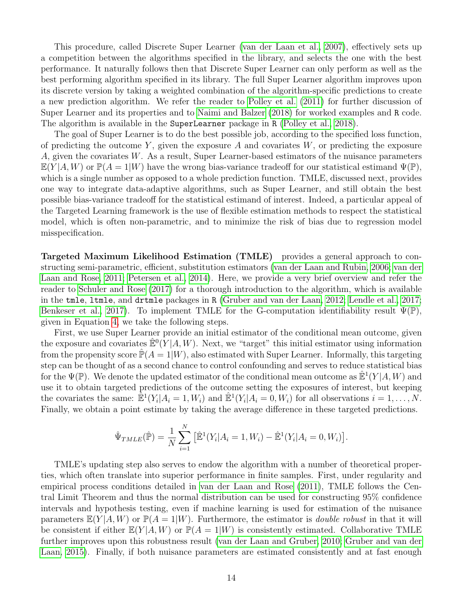This procedure, called Discrete Super Learner [\(van der Laan et al., 2007\)](#page-25-0), effectively sets up a competition between the algorithms specified in the library, and selects the one with the best performance. It naturally follows then that Discrete Super Learner can only perform as well as the best performing algorithm specified in its library. The full Super Learner algorithm improves upon its discrete version by taking a weighted combination of the algorithm-specific predictions to create a new prediction algorithm. We refer the reader to [Polley et al.](#page-22-6) [\(2011\)](#page-22-6) for further discussion of Super Learner and its properties and to [Naimi and Balzer](#page-21-9) [\(2018\)](#page-21-9) for worked examples and R code. The algorithm is available in the SuperLearner package in R [\(Polley et al., 2018\)](#page-22-7).

The goal of Super Learner is to do the best possible job, according to the specified loss function, of predicting the outcome Y, given the exposure A and covariates  $W$ , or predicting the exposure A, given the covariates W. As a result, Super Learner-based estimators of the nuisance parameters  $\mathbb{E}(Y|A, W)$  or  $\mathbb{P}(A = 1|W)$  have the wrong bias-variance tradeoff for our statistical estimand  $\Psi(\mathbb{P})$ . which is a single number as opposed to a whole prediction function. TMLE, discussed next, provides one way to integrate data-adaptive algorithms, such as Super Learner, and still obtain the best possible bias-variance tradeoff for the statistical estimand of interest. Indeed, a particular appeal of the Targeted Learning framework is the use of flexible estimation methods to respect the statistical model, which is often non-parametric, and to minimize the risk of bias due to regression model misspecification.

Targeted Maximum Likelihood Estimation (TMLE) provides a general approach to constructing semi-parametric, efficient, substitution estimators [\(van der Laan and Rubin, 2006;](#page-25-4) [van der](#page-25-1) [Laan and Rose, 2011;](#page-25-1) [Petersen et al., 2014\)](#page-22-8). Here, we provide a very brief overview and refer the reader to [Schuler and Rose](#page-24-4) [\(2017\)](#page-24-4) for a thorough introduction to the algorithm, which is available in the tmle, ltmle, and drtmle packages in R [\(Gruber and van der Laan, 2012;](#page-19-8) [Lendle et al., 2017;](#page-20-8) [Benkeser et al., 2017\)](#page-18-5). To implement TMLE for the G-computation identifiability result  $\Psi(\mathbb{P})$ , given in Equation [4,](#page-9-1) we take the following steps.

First, we use Super Learner provide an initial estimator of the conditional mean outcome, given the exposure and covariates  $\mathbb{E}^0(Y|A,W)$ . Next, we "target" this initial estimator using information from the propensity score  $\mathbb{P}(A=1|W)$ , also estimated with Super Learner. Informally, this targeting step can be thought of as a second chance to control confounding and serves to reduce statistical bias for the  $\Psi(\mathbb{P})$ . We denote the updated estimator of the conditional mean outcome as  $\mathbb{E}^1(Y|A, W)$  and use it to obtain targeted predictions of the outcome setting the exposures of interest, but keeping the covariates the same:  $\mathbb{E}^1(Y_i|A_i=1, W_i)$  and  $\mathbb{E}^1(Y_i|A_i=0, W_i)$  for all observations  $i=1,\ldots,N$ . Finally, we obtain a point estimate by taking the average difference in these targeted predictions.

$$
\hat{\Psi}_{TMLE}(\hat{\mathbb{P}}) = \frac{1}{N} \sum_{i=1}^{N} \left[ \hat{\mathbb{E}}^{1}(Y_i | A_i = 1, W_i) - \hat{\mathbb{E}}^{1}(Y_i | A_i = 0, W_i) \right].
$$

TMLE's updating step also serves to endow the algorithm with a number of theoretical properties, which often translate into superior performance in finite samples. First, under regularity and empirical process conditions detailed in [van der Laan and Rose](#page-25-1) [\(2011\)](#page-25-1), TMLE follows the Central Limit Theorem and thus the normal distribution can be used for constructing 95% confidence intervals and hypothesis testing, even if machine learning is used for estimation of the nuisance parameters  $\mathbb{E}(Y|A, W)$  or  $\mathbb{P}(A = 1|W)$ . Furthermore, the estimator is *double robust* in that it will be consistent if either  $\mathbb{E}(Y|A, W)$  or  $\mathbb{P}(A = 1|W)$  is consistently estimated. Collaborative TMLE further improves upon this robustness result [\(van der Laan and Gruber, 2010;](#page-24-5) [Gruber and van der](#page-19-9) [Laan, 2015\)](#page-19-9). Finally, if both nuisance parameters are estimated consistently and at fast enough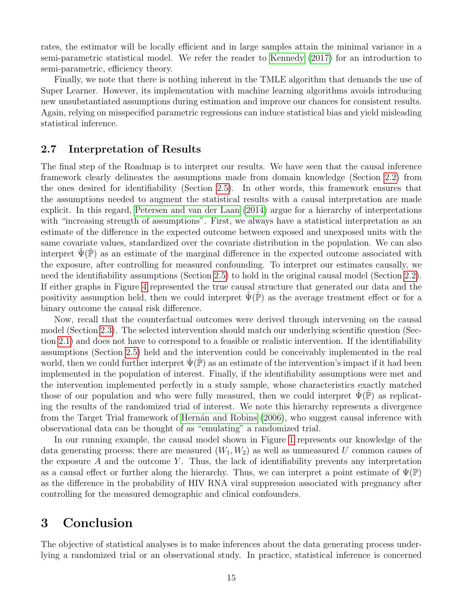rates, the estimator will be locally efficient and in large samples attain the minimal variance in a semi-parametric statistical model. We refer the reader to [Kennedy](#page-20-9) [\(2017\)](#page-20-9) for an introduction to semi-parametric, efficiency theory.

Finally, we note that there is nothing inherent in the TMLE algorithm that demands the use of Super Learner. However, its implementation with machine learning algorithms avoids introducing new unsubstantiated assumptions during estimation and improve our chances for consistent results. Again, relying on misspecified parametric regressions can induce statistical bias and yield misleading statistical inference.

#### 2.7 Interpretation of Results

The final step of the Roadmap is to interpret our results. We have seen that the causal inference framework clearly delineates the assumptions made from domain knowledge (Section [2.2\)](#page-2-0) from the ones desired for identifiability (Section [2.5\)](#page-7-1). In other words, this framework ensures that the assumptions needed to augment the statistical results with a causal interpretation are made explicit. In this regard, [Petersen and van der Laan](#page-22-0) [\(2014\)](#page-22-0) argue for a hierarchy of interpretations with "increasing strength of assumptions". First, we always have a statistical interpretation as an estimate of the difference in the expected outcome between exposed and unexposed units with the same covariate values, standardized over the covariate distribution in the population. We can also interpret  $\hat{\Psi}(\hat{\mathbb{P}})$  as an estimate of the marginal difference in the expected outcome associated with the exposure, after controlling for measured confounding. To interpret our estimates causally, we need the identifiability assumptions (Section [2.5\)](#page-7-1) to hold in the original causal model (Section [2.2\)](#page-2-0). If either graphs in Figure [4](#page-9-0) represented the true causal structure that generated our data and the positivity assumption held, then we could interpret  $\Psi(\mathbb{P})$  as the average treatment effect or for a binary outcome the causal risk difference.

Now, recall that the counterfactual outcomes were derived through intervening on the causal model (Section [2.3\)](#page-5-0). The selected intervention should match our underlying scientific question (Section [2.1\)](#page-1-0) and does not have to correspond to a feasible or realistic intervention. If the identifiability assumptions (Section [2.5\)](#page-7-1) held and the intervention could be conceivably implemented in the real world, then we could further interpret  $\Psi(\mathbb{P})$  as an estimate of the intervention's impact if it had been implemented in the population of interest. Finally, if the identifiability assumptions were met and the intervention implemented perfectly in a study sample, whose characteristics exactly matched those of our population and who were fully measured, then we could interpret  $\Psi(\mathbb{P})$  as replicating the results of the randomized trial of interest. We note this hierarchy represents a divergence from the Target Trial framework of Hernán and Robins [\(2006\)](#page-19-10), who suggest causal inference with observational data can be thought of as "emulating" a randomized trial.

In our running example, the causal model shown in Figure [1](#page-3-0) represents our knowledge of the data generating process; there are measured  $(W_1, W_2)$  as well as unmeasured U common causes of the exposure  $A$  and the outcome  $Y$ . Thus, the lack of identifiability prevents any interpretation as a causal effect or further along the hierarchy. Thus, we can interpret a point estimate of  $\Psi(\mathbb{P})$ as the difference in the probability of HIV RNA viral suppression associated with pregnancy after controlling for the measured demographic and clinical confounders.

## 3 Conclusion

The objective of statistical analyses is to make inferences about the data generating process underlying a randomized trial or an observational study. In practice, statistical inference is concerned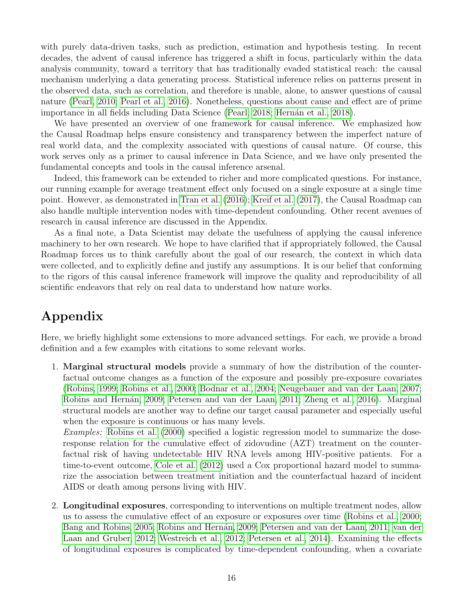with purely data-driven tasks, such as prediction, estimation and hypothesis testing. In recent decades, the advent of causal inference has triggered a shift in focus, particularly within the data analysis community, toward a territory that has traditionally evaded statistical reach: the causal mechanism underlying a data generating process. Statistical inference relies on patterns present in the observed data, such as correlation, and therefore is unable, alone, to answer questions of causal nature [\(Pearl, 2010;](#page-22-9) [Pearl et al., 2016\)](#page-22-1). Nonetheless, questions about cause and effect are of prime importance in all fields including Data Science [\(Pearl, 2018;](#page-22-10) Hernán et al., 2018).

We have presented an overview of one framework for causal inference. We emphasized how the Causal Roadmap helps ensure consistency and transparency between the imperfect nature of real world data, and the complexity associated with questions of causal nature. Of course, this work serves only as a primer to causal inference in Data Science, and we have only presented the fundamental concepts and tools in the causal inference arsenal.

Indeed, this framework can be extended to richer and more complicated questions. For instance, our running example for average treatment effect only focused on a single exposure at a single time point. However, as demonstrated in [Tran et al.](#page-24-1) [\(2016\)](#page-24-1); [Kreif et al.](#page-20-4) [\(2017\)](#page-20-4), the Causal Roadmap can also handle multiple intervention nodes with time-dependent confounding. Other recent avenues of research in causal inference are discussed in the Appendix.

As a final note, a Data Scientist may debate the usefulness of applying the causal inference machinery to her own research. We hope to have clarified that if appropriately followed, the Causal Roadmap forces us to think carefully about the goal of our research, the context in which data were collected, and to explicitly define and justify any assumptions. It is our belief that conforming to the rigors of this causal inference framework will improve the quality and reproducibility of all scientific endeavors that rely on real data to understand how nature works.

# Appendix

Here, we briefly highlight some extensions to more advanced settings. For each, we provide a broad definition and a few examples with citations to some relevant works.

1. Marginal structural models provide a summary of how the distribution of the counterfactual outcome changes as a function of the exposure and possibly pre-exposure covariates [\(Robins, 1999;](#page-23-10) [Robins et al., 2000;](#page-23-5) [Bodnar et al., 2004;](#page-18-4) [Neugebauer and van der Laan, 2007;](#page-21-10) [Robins and Hern´an, 2009;](#page-23-3) [Petersen and van der Laan, 2011;](#page-22-11) [Zheng et al., 2016\)](#page-25-9). Marginal structural models are another way to define our target causal parameter and especially useful when the exposure is continuous or has many levels.

Examples: [Robins et al.](#page-23-5) [\(2000\)](#page-23-5) specified a logistic regression model to summarize the doseresponse relation for the cumulative effect of zidovudine (AZT) treatment on the counterfactual risk of having undetectable HIV RNA levels among HIV-positive patients. For a time-to-event outcome, [Cole et al.](#page-18-7) [\(2012\)](#page-18-7) used a Cox proportional hazard model to summarize the association between treatment initiation and the counterfactual hazard of incident AIDS or death among persons living with HIV.

2. Longitudinal exposures, corresponding to interventions on multiple treatment nodes, allow us to assess the cumulative effect of an exposure or exposures over time [\(Robins et al., 2000;](#page-23-5) [Bang and Robins, 2005;](#page-18-8) Robins and Hernán, 2009; [Petersen and van der Laan, 2011;](#page-22-11) [van der](#page-24-6) [Laan and Gruber, 2012;](#page-24-6) [Westreich et al., 2012;](#page-25-6) [Petersen et al., 2014\)](#page-22-8). Examining the effects of longitudinal exposures is complicated by time-dependent confounding, when a covariate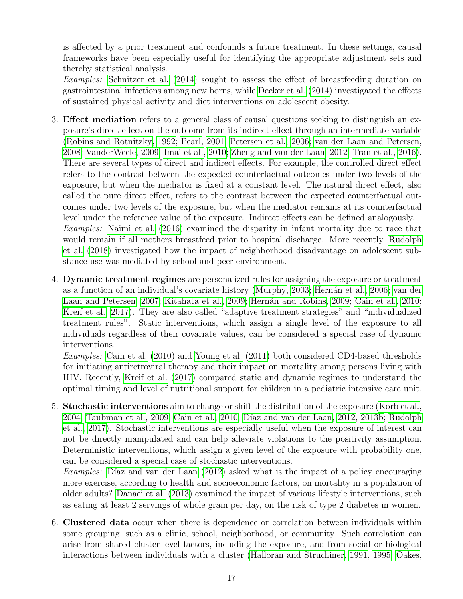is affected by a prior treatment and confounds a future treatment. In these settings, causal frameworks have been especially useful for identifying the appropriate adjustment sets and thereby statistical analysis.

Examples: [Schnitzer et al.](#page-24-7) [\(2014\)](#page-24-7) sought to assess the effect of breastfeeding duration on gastrointestinal infections among new borns, while [Decker et al.](#page-18-9) [\(2014\)](#page-18-9) investigated the effects of sustained physical activity and diet interventions on adolescent obesity.

- 3. Effect mediation refers to a general class of causal questions seeking to distinguish an exposure's direct effect on the outcome from its indirect effect through an intermediate variable [\(Robins and Rotnitzky, 1992;](#page-23-11) [Pearl, 2001;](#page-22-12) [Petersen et al., 2006;](#page-22-13) [van der Laan and Petersen,](#page-24-8) [2008;](#page-24-8) [VanderWeele, 2009;](#page-25-10) [Imai et al., 2010;](#page-20-6) [Zheng and van der Laan, 2012;](#page-25-11) [Tran et al., 2016\)](#page-24-1). There are several types of direct and indirect effects. For example, the controlled direct effect refers to the contrast between the expected counterfactual outcomes under two levels of the exposure, but when the mediator is fixed at a constant level. The natural direct effect, also called the pure direct effect, refers to the contrast between the expected counterfactual outcomes under two levels of the exposure, but when the mediator remains at its counterfactual level under the reference value of the exposure. Indirect effects can be defined analogously. Examples: [Naimi et al.](#page-21-11) [\(2016\)](#page-21-11) examined the disparity in infant mortality due to race that would remain if all mothers breastfeed prior to hospital discharge. More recently, [Rudolph](#page-24-9) [et al.](#page-24-9) [\(2018\)](#page-24-9) investigated how the impact of neighborhood disadvantage on adolescent substance use was mediated by school and peer environment.
- 4. Dynamic treatment regimes are personalized rules for assigning the exposure or treatment as a function of an individual's covariate history [\(Murphy, 2003;](#page-21-12) Hernán et al., 2006; [van der](#page-24-10) [Laan and Petersen, 2007;](#page-24-10) [Kitahata et al., 2009;](#page-20-11) Hernán and Robins, 2009; [Cain et al., 2010;](#page-18-10) [Kreif et al., 2017\)](#page-20-4). They are also called "adaptive treatment strategies" and "individualized treatment rules". Static interventions, which assign a single level of the exposure to all individuals regardless of their covariate values, can be considered a special case of dynamic interventions.

Examples: [Cain et al.](#page-18-10) [\(2010\)](#page-18-10) and [Young et al.](#page-25-5) [\(2011\)](#page-25-5) both considered CD4-based thresholds for initiating antiretroviral therapy and their impact on mortality among persons living with HIV. Recently, [Kreif et al.](#page-20-4) [\(2017\)](#page-20-4) compared static and dynamic regimes to understand the optimal timing and level of nutritional support for children in a pediatric intensive care unit.

5. Stochastic interventions aim to change or shift the distribution of the exposure [\(Korb et al.,](#page-20-12) [2004;](#page-20-12) [Taubman et al., 2009;](#page-24-3) [Cain et al., 2010;](#page-18-10) Díaz and van der Laan, 2012, [2013b;](#page-19-13) [Rudolph](#page-24-11) [et al., 2017\)](#page-24-11). Stochastic interventions are especially useful when the exposure of interest can not be directly manipulated and can help alleviate violations to the positivity assumption. Deterministic interventions, which assign a given level of the exposure with probability one, can be considered a special case of stochastic interventions.

Examples: Díaz and van der Laan  $(2012)$  asked what is the impact of a policy encouraging more exercise, according to health and socioeconomic factors, on mortality in a population of older adults? [Danaei et al.](#page-18-11) [\(2013\)](#page-18-11) examined the impact of various lifestyle interventions, such as eating at least 2 servings of whole grain per day, on the risk of type 2 diabetes in women.

6. Clustered data occur when there is dependence or correlation between individuals within some grouping, such as a clinic, school, neighborhood, or community. Such correlation can arise from shared cluster-level factors, including the exposure, and from social or biological interactions between individuals with a cluster [\(Halloran and Struchiner, 1991,](#page-19-14) [1995;](#page-19-15) [Oakes,](#page-21-13)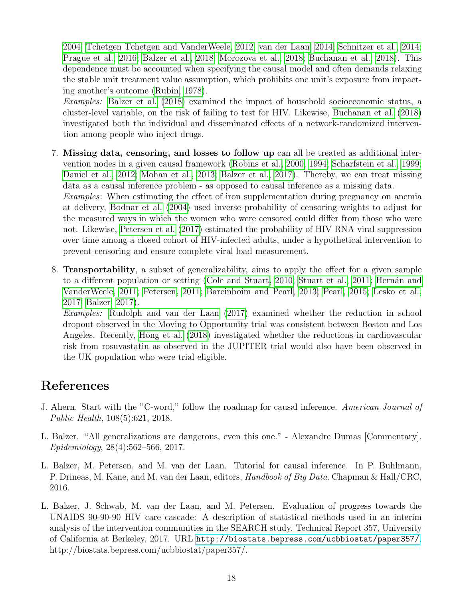[2004;](#page-21-13) [Tchetgen Tchetgen and VanderWeele, 2012;](#page-24-12) [van der Laan, 2014;](#page-24-13) [Schnitzer et al., 2014;](#page-24-7) [Prague et al., 2016;](#page-23-12) [Balzer et al., 2018;](#page-18-12) [Morozova et al., 2018;](#page-21-14) [Buchanan et al., 2018\)](#page-18-13). This dependence must be accounted when specifying the causal model and often demands relaxing the stable unit treatment value assumption, which prohibits one unit's exposure from impacting another's outcome [\(Rubin, 1978\)](#page-23-13).

Examples: [Balzer et al.](#page-18-12) [\(2018\)](#page-18-12) examined the impact of household socioeconomic status, a cluster-level variable, on the risk of failing to test for HIV. Likewise, [Buchanan et al.](#page-18-13) [\(2018\)](#page-18-13) investigated both the individual and disseminated effects of a network-randomized intervention among people who inject drugs.

- 7. Missing data, censoring, and losses to follow up can all be treated as additional intervention nodes in a given causal framework [\(Robins et al., 2000,](#page-23-5) [1994;](#page-23-6) [Scharfstein et al., 1999;](#page-24-2) [Daniel et al., 2012;](#page-18-2) [Mohan et al., 2013;](#page-21-4) [Balzer et al., 2017\)](#page-17-1). Thereby, we can treat missing data as a causal inference problem - as opposed to causal inference as a missing data. Examples: When estimating the effect of iron supplementation during pregnancy on anemia at delivery, [Bodnar et al.](#page-18-4) [\(2004\)](#page-18-4) used inverse probability of censoring weights to adjust for the measured ways in which the women who were censored could differ from those who were not. Likewise, [Petersen et al.](#page-22-3) [\(2017\)](#page-22-3) estimated the probability of HIV RNA viral suppression over time among a closed cohort of HIV-infected adults, under a hypothetical intervention to prevent censoring and ensure complete viral load measurement.
- 8. Transportability, a subset of generalizability, aims to apply the effect for a given sample to a different population or setting [\(Cole and Stuart, 2010;](#page-18-14) [Stuart et al., 2011;](#page-24-14) Hernán and [VanderWeele, 2011;](#page-19-16) [Petersen, 2011;](#page-22-14) [Bareinboim and Pearl, 2013;](#page-18-15) [Pearl, 2015;](#page-22-15) [Lesko et al.,](#page-21-15) [2017;](#page-21-15) [Balzer, 2017\)](#page-17-3).

Examples: [Rudolph and van der Laan](#page-23-14) [\(2017\)](#page-23-14) examined whether the reduction in school dropout observed in the Moving to Opportunity trial was consistent between Boston and Los Angeles. Recently, [Hong et al.](#page-20-13) [\(2018\)](#page-20-13) investigated whether the reductions in cardiovascular risk from rosuvastatin as observed in the JUPITER trial would also have been observed in the UK population who were trial eligible.

# References

- <span id="page-17-0"></span>J. Ahern. Start with the "C-word," follow the roadmap for causal inference. American Journal of Public Health, 108(5):621, 2018.
- <span id="page-17-3"></span>L. Balzer. "All generalizations are dangerous, even this one." - Alexandre Dumas [Commentary]. Epidemiology, 28(4):562–566, 2017.
- <span id="page-17-2"></span>L. Balzer, M. Petersen, and M. van der Laan. Tutorial for causal inference. In P. Buhlmann, P. Drineas, M. Kane, and M. van der Laan, editors, Handbook of Big Data. Chapman & Hall/CRC, 2016.
- <span id="page-17-1"></span>L. Balzer, J. Schwab, M. van der Laan, and M. Petersen. Evaluation of progress towards the UNAIDS 90-90-90 HIV care cascade: A description of statistical methods used in an interim analysis of the intervention communities in the SEARCH study. Technical Report 357, University of California at Berkeley, 2017. URL <http://biostats.bepress.com/ucbbiostat/paper357/>. http://biostats.bepress.com/ucbbiostat/paper357/.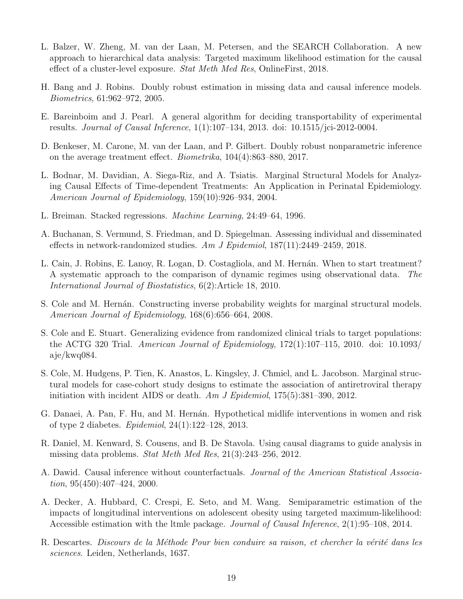- <span id="page-18-12"></span>L. Balzer, W. Zheng, M. van der Laan, M. Petersen, and the SEARCH Collaboration. A new approach to hierarchical data analysis: Targeted maximum likelihood estimation for the causal effect of a cluster-level exposure. Stat Meth Med Res, OnlineFirst, 2018.
- <span id="page-18-8"></span>H. Bang and J. Robins. Doubly robust estimation in missing data and causal inference models. Biometrics, 61:962–972, 2005.
- <span id="page-18-15"></span>E. Bareinboim and J. Pearl. A general algorithm for deciding transportability of experimental results. Journal of Causal Inference, 1(1):107–134, 2013. doi: 10.1515/jci-2012-0004.
- <span id="page-18-5"></span>D. Benkeser, M. Carone, M. van der Laan, and P. Gilbert. Doubly robust nonparametric inference on the average treatment effect. Biometrika, 104(4):863–880, 2017.
- <span id="page-18-4"></span>L. Bodnar, M. Davidian, A. Siega-Riz, and A. Tsiatis. Marginal Structural Models for Analyzing Causal Effects of Time-dependent Treatments: An Application in Perinatal Epidemiology. American Journal of Epidemiology, 159(10):926–934, 2004.
- <span id="page-18-6"></span>L. Breiman. Stacked regressions. Machine Learning, 24:49–64, 1996.
- <span id="page-18-13"></span>A. Buchanan, S. Vermund, S. Friedman, and D. Spiegelman. Assessing individual and disseminated effects in network-randomized studies. Am J Epidemiol,  $187(11):2449-2459$ , 2018.
- <span id="page-18-10"></span>L. Cain, J. Robins, E. Lanoy, R. Logan, D. Costagliola, and M. Hernán. When to start treatment? A systematic approach to the comparison of dynamic regimes using observational data. The International Journal of Biostatistics, 6(2):Article 18, 2010.
- <span id="page-18-3"></span>S. Cole and M. Hernán. Constructing inverse probability weights for marginal structural models. American Journal of Epidemiology, 168(6):656–664, 2008.
- <span id="page-18-14"></span>S. Cole and E. Stuart. Generalizing evidence from randomized clinical trials to target populations: the ACTG 320 Trial. American Journal of Epidemiology, 172(1):107–115, 2010. doi: 10.1093/ aje/kwq084.
- <span id="page-18-7"></span>S. Cole, M. Hudgens, P. Tien, K. Anastos, L. Kingsley, J. Chmiel, and L. Jacobson. Marginal structural models for case-cohort study designs to estimate the association of antiretroviral therapy initiation with incident AIDS or death. Am J Epidemiol,  $175(5)$ :381–390, 2012.
- <span id="page-18-11"></span>G. Danaei, A. Pan, F. Hu, and M. Hernán. Hypothetical midlife interventions in women and risk of type 2 diabetes. Epidemiol, 24(1):122–128, 2013.
- <span id="page-18-2"></span>R. Daniel, M. Kenward, S. Cousens, and B. De Stavola. Using causal diagrams to guide analysis in missing data problems. Stat Meth Med Res, 21(3):243–256, 2012.
- <span id="page-18-1"></span>A. Dawid. Causal inference without counterfactuals. Journal of the American Statistical Association, 95(450):407–424, 2000.
- <span id="page-18-9"></span>A. Decker, A. Hubbard, C. Crespi, E. Seto, and M. Wang. Semiparametric estimation of the impacts of longitudinal interventions on adolescent obesity using targeted maximum-likelihood: Accessible estimation with the ltmle package. Journal of Causal Inference, 2(1):95–108, 2014.
- <span id="page-18-0"></span>R. Descartes. Discours de la Méthode Pour bien conduire sa raison, et chercher la vérité dans les sciences. Leiden, Netherlands, 1637.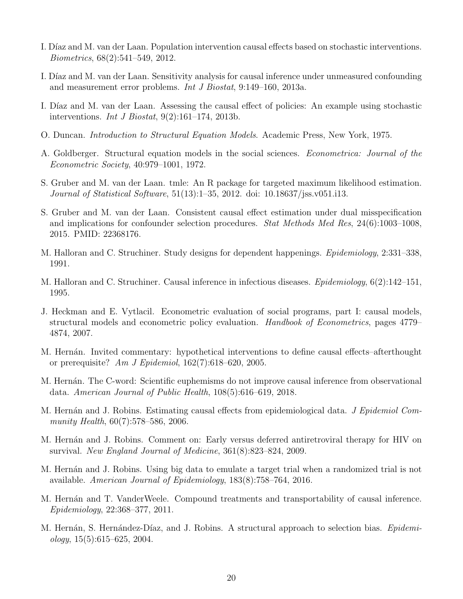- <span id="page-19-12"></span>I. Díaz and M. van der Laan. Population intervention causal effects based on stochastic interventions. Biometrics, 68(2):541–549, 2012.
- <span id="page-19-7"></span>I. Díaz and M. van der Laan. Sensitivity analysis for causal inference under unmeasured confounding and measurement error problems. Int J Biostat, 9:149–160, 2013a.
- <span id="page-19-13"></span>I. Díaz and M. van der Laan. Assessing the causal effect of policies: An example using stochastic interventions. *Int J Biostat*,  $9(2):161-174$ ,  $2013b$ .
- <span id="page-19-4"></span>O. Duncan. Introduction to Structural Equation Models. Academic Press, New York, 1975.
- <span id="page-19-3"></span>A. Goldberger. Structural equation models in the social sciences. Econometrica: Journal of the Econometric Society, 40:979–1001, 1972.
- <span id="page-19-8"></span>S. Gruber and M. van der Laan. tmle: An R package for targeted maximum likelihood estimation. Journal of Statistical Software, 51(13):1–35, 2012. doi: 10.18637/jss.v051.i13.
- <span id="page-19-9"></span>S. Gruber and M. van der Laan. Consistent causal effect estimation under dual misspecification and implications for confounder selection procedures. Stat Methods Med Res, 24(6):1003–1008, 2015. PMID: 22368176.
- <span id="page-19-14"></span>M. Halloran and C. Struchiner. Study designs for dependent happenings. Epidemiology, 2:331–338, 1991.
- <span id="page-19-15"></span>M. Halloran and C. Struchiner. Causal inference in infectious diseases. Epidemiology, 6(2):142–151, 1995.
- <span id="page-19-0"></span>J. Heckman and E. Vytlacil. Econometric evaluation of social programs, part I: causal models, structural models and econometric policy evaluation. Handbook of Econometrics, pages 4779– 4874, 2007.
- <span id="page-19-5"></span>M. Hernán. Invited commentary: hypothetical interventions to define causal effects–afterthought or prerequisite? Am J Epidemiol,  $162(7)$ :618–620, 2005.
- <span id="page-19-2"></span>M. Hernán. The C-word: Scientific euphemisms do not improve causal inference from observational data. American Journal of Public Health, 108(5):616–619, 2018.
- <span id="page-19-10"></span>M. Hernán and J. Robins. Estimating causal effects from epidemiological data. J Epidemiol Community Health, 60(7):578–586, 2006.
- <span id="page-19-11"></span>M. Hernán and J. Robins. Comment on: Early versus deferred antiretroviral therapy for HIV on survival. New England Journal of Medicine, 361(8):823–824, 2009.
- <span id="page-19-1"></span>M. Hernán and J. Robins. Using big data to emulate a target trial when a randomized trial is not available. American Journal of Epidemiology, 183(8):758–764, 2016.
- <span id="page-19-16"></span>M. Hernán and T. VanderWeele. Compound treatments and transportability of causal inference. Epidemiology, 22:368–377, 2011.
- <span id="page-19-6"></span>M. Hernán, S. Hernández-Díaz, and J. Robins. A structural approach to selection bias. Epidemi- $\omega$ logy, 15(5):615–625, 2004.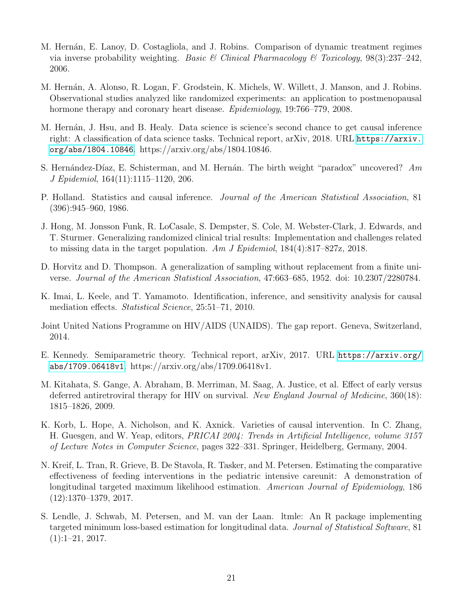- <span id="page-20-10"></span>M. Hernán, E. Lanoy, D. Costagliola, and J. Robins. Comparison of dynamic treatment regimes via inverse probability weighting. Basic & Clinical Pharmacology & Toxicology,  $98(3):237-242$ , 2006.
- <span id="page-20-2"></span>M. Hernán, A. Alonso, R. Logan, F. Grodstein, K. Michels, W. Willett, J. Manson, and J. Robins. Observational studies analyzed like randomized experiments: an application to postmenopausal hormone therapy and coronary heart disease. *Epidemiology*, 19:766–779, 2008.
- <span id="page-20-0"></span>M. Hernán, J. Hsu, and B. Healy. Data science is science's second chance to get causal inference right: A classification of data science tasks. Technical report, arXiv, 2018. URL [https://arxiv.](https://arxiv.org/abs/1804.10846) [org/abs/1804.10846](https://arxiv.org/abs/1804.10846). https://arxiv.org/abs/1804.10846.
- <span id="page-20-5"></span>S. Hernández-Díaz, E. Schisterman, and M. Hernán. The birth weight "paradox" uncovered?  $Am$ J Epidemiol, 164(11):1115–1120, 206.
- <span id="page-20-3"></span>P. Holland. Statistics and causal inference. Journal of the American Statistical Association, 81 (396):945–960, 1986.
- <span id="page-20-13"></span>J. Hong, M. Jonsson Funk, R. LoCasale, S. Dempster, S. Cole, M. Webster-Clark, J. Edwards, and T. Sturmer. Generalizing randomized clinical trial results: Implementation and challenges related to missing data in the target population. Am J Epidemiol,  $184(4):817-827z$ , 2018.
- <span id="page-20-7"></span>D. Horvitz and D. Thompson. A generalization of sampling without replacement from a finite universe. Journal of the American Statistical Association, 47:663–685, 1952. doi: 10.2307/2280784.
- <span id="page-20-6"></span>K. Imai, L. Keele, and T. Yamamoto. Identification, inference, and sensitivity analysis for causal mediation effects. Statistical Science, 25:51–71, 2010.
- <span id="page-20-1"></span>Joint United Nations Programme on HIV/AIDS (UNAIDS). The gap report. Geneva, Switzerland, 2014.
- <span id="page-20-9"></span>E. Kennedy. Semiparametric theory. Technical report, arXiv, 2017. URL [https://arxiv.org/](https://arxiv.org/abs/1709.06418v1) [abs/1709.06418v1](https://arxiv.org/abs/1709.06418v1). https://arxiv.org/abs/1709.06418v1.
- <span id="page-20-11"></span>M. Kitahata, S. Gange, A. Abraham, B. Merriman, M. Saag, A. Justice, et al. Effect of early versus deferred antiretroviral therapy for HIV on survival. New England Journal of Medicine, 360(18): 1815–1826, 2009.
- <span id="page-20-12"></span>K. Korb, L. Hope, A. Nicholson, and K. Axnick. Varieties of causal intervention. In C. Zhang, H. Guesgen, and W. Yeap, editors, PRICAI 2004: Trends in Artificial Intelligence, volume 3157 of Lecture Notes in Computer Science, pages 322–331. Springer, Heidelberg, Germany, 2004.
- <span id="page-20-4"></span>N. Kreif, L. Tran, R. Grieve, B. De Stavola, R. Tasker, and M. Petersen. Estimating the comparative effectiveness of feeding interventions in the pediatric intensive careunit: A demonstration of longitudinal targeted maximum likelihood estimation. American Journal of Epidemiology, 186 (12):1370–1379, 2017.
- <span id="page-20-8"></span>S. Lendle, J. Schwab, M. Petersen, and M. van der Laan. ltmle: An R package implementing targeted minimum loss-based estimation for longitudinal data. Journal of Statistical Software, 81  $(1):1-21, 2017.$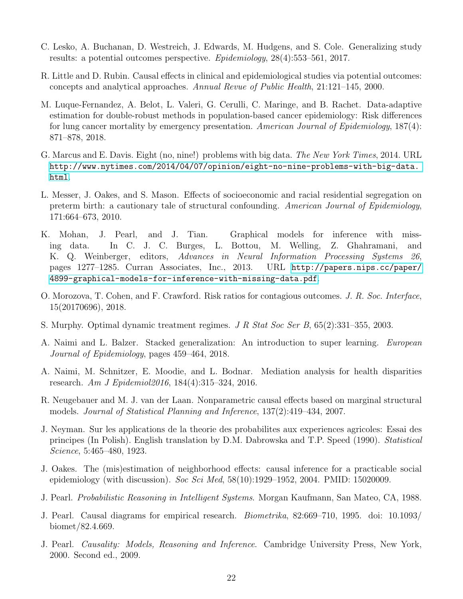- <span id="page-21-15"></span>C. Lesko, A. Buchanan, D. Westreich, J. Edwards, M. Hudgens, and S. Cole. Generalizing study results: a potential outcomes perspective. Epidemiology, 28(4):553–561, 2017.
- <span id="page-21-2"></span>R. Little and D. Rubin. Causal effects in clinical and epidemiological studies via potential outcomes: concepts and analytical approaches. Annual Revue of Public Health, 21:121–145, 2000.
- <span id="page-21-8"></span>M. Luque-Fernandez, A. Belot, L. Valeri, G. Cerulli, C. Maringe, and B. Rachet. Data-adaptive estimation for double-robust methods in population-based cancer epidemiology: Risk differences for lung cancer mortality by emergency presentation. American Journal of Epidemiology, 187(4): 871–878, 2018.
- <span id="page-21-7"></span>G. Marcus and E. Davis. Eight (no, nine!) problems with big data. The New York Times, 2014. URL [http://www.nytimes.com/2014/04/07/opinion/eight-no-nine-problems-with-big-data.](http://www.nytimes.com/2014/04/07/opinion/eight-no-nine-problems-with-big-data.html) [html](http://www.nytimes.com/2014/04/07/opinion/eight-no-nine-problems-with-big-data.html).
- <span id="page-21-6"></span>L. Messer, J. Oakes, and S. Mason. Effects of socioeconomic and racial residential segregation on preterm birth: a cautionary tale of structural confounding. American Journal of Epidemiology, 171:664–673, 2010.
- <span id="page-21-4"></span>K. Mohan, J. Pearl, and J. Tian. Graphical models for inference with missing data. In C. J. C. Burges, L. Bottou, M. Welling, Z. Ghahramani, and K. Q. Weinberger, editors, Advances in Neural Information Processing Systems 26, pages 1277–1285. Curran Associates, Inc., 2013. URL [http://papers.nips.cc/paper/](http://papers.nips.cc/paper/4899-graphical-models-for-inference-with-missing-data.pdf) [4899-graphical-models-for-inference-with-missing-data.pdf](http://papers.nips.cc/paper/4899-graphical-models-for-inference-with-missing-data.pdf).
- <span id="page-21-14"></span>O. Morozova, T. Cohen, and F. Crawford. Risk ratios for contagious outcomes. J. R. Soc. Interface, 15(20170696), 2018.
- <span id="page-21-12"></span>S. Murphy. Optimal dynamic treatment regimes. J R Stat Soc Ser B, 65(2):331–355, 2003.
- <span id="page-21-9"></span>A. Naimi and L. Balzer. Stacked generalization: An introduction to super learning. European Journal of Epidemiology, pages 459–464, 2018.
- <span id="page-21-11"></span>A. Naimi, M. Schnitzer, E. Moodie, and L. Bodnar. Mediation analysis for health disparities research. Am J Epidemiol2016, 184(4):315–324, 2016.
- <span id="page-21-10"></span>R. Neugebauer and M. J. van der Laan. Nonparametric causal effects based on marginal structural models. Journal of Statistical Planning and Inference, 137(2):419–434, 2007.
- <span id="page-21-0"></span>J. Neyman. Sur les applications de la theorie des probabilites aux experiences agricoles: Essai des principes (In Polish). English translation by D.M. Dabrowska and T.P. Speed (1990). Statistical Science, 5:465–480, 1923.
- <span id="page-21-13"></span>J. Oakes. The (mis)estimation of neighborhood effects: causal inference for a practicable social epidemiology (with discussion). Soc Sci Med,  $58(10):1929-1952$ , 2004. PMID: 15020009.
- <span id="page-21-3"></span>J. Pearl. Probabilistic Reasoning in Intelligent Systems. Morgan Kaufmann, San Mateo, CA, 1988.
- <span id="page-21-5"></span>J. Pearl. Causal diagrams for empirical research. Biometrika, 82:669–710, 1995. doi: 10.1093/ biomet/82.4.669.
- <span id="page-21-1"></span>J. Pearl. Causality: Models, Reasoning and Inference. Cambridge University Press, New York, 2000. Second ed., 2009.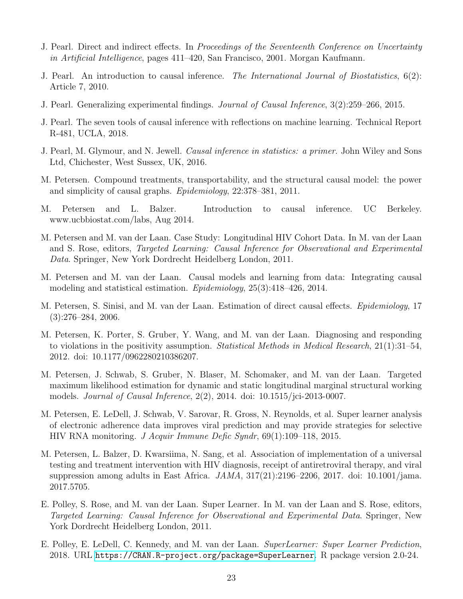- <span id="page-22-12"></span>J. Pearl. Direct and indirect effects. In Proceedings of the Seventeenth Conference on Uncertainty in Artificial Intelligence, pages 411–420, San Francisco, 2001. Morgan Kaufmann.
- <span id="page-22-9"></span>J. Pearl. An introduction to causal inference. The International Journal of Biostatistics, 6(2): Article 7, 2010.
- <span id="page-22-15"></span>J. Pearl. Generalizing experimental findings. Journal of Causal Inference, 3(2):259–266, 2015.
- <span id="page-22-10"></span>J. Pearl. The seven tools of causal inference with reflections on machine learning. Technical Report R-481, UCLA, 2018.
- <span id="page-22-1"></span>J. Pearl, M. Glymour, and N. Jewell. *Causal inference in statistics: a primer*. John Wiley and Sons Ltd, Chichester, West Sussex, UK, 2016.
- <span id="page-22-14"></span>M. Petersen. Compound treatments, transportability, and the structural causal model: the power and simplicity of causal graphs. Epidemiology, 22:378–381, 2011.
- <span id="page-22-5"></span>M. Petersen and L. Balzer. Introduction to causal inference. UC Berkeley. www.ucbbiostat.com/labs, Aug 2014.
- <span id="page-22-11"></span>M. Petersen and M. van der Laan. Case Study: Longitudinal HIV Cohort Data. In M. van der Laan and S. Rose, editors, Targeted Learning: Causal Inference for Observational and Experimental Data. Springer, New York Dordrecht Heidelberg London, 2011.
- <span id="page-22-0"></span>M. Petersen and M. van der Laan. Causal models and learning from data: Integrating causal modeling and statistical estimation. Epidemiology, 25(3):418–426, 2014.
- <span id="page-22-13"></span>M. Petersen, S. Sinisi, and M. van der Laan. Estimation of direct causal effects. Epidemiology, 17  $(3):276-284, 2006.$
- <span id="page-22-4"></span>M. Petersen, K. Porter, S. Gruber, Y. Wang, and M. van der Laan. Diagnosing and responding to violations in the positivity assumption. *Statistical Methods in Medical Research*,  $21(1):31-54$ , 2012. doi: 10.1177/0962280210386207.
- <span id="page-22-8"></span>M. Petersen, J. Schwab, S. Gruber, N. Blaser, M. Schomaker, and M. van der Laan. Targeted maximum likelihood estimation for dynamic and static longitudinal marginal structural working models. Journal of Causal Inference, 2(2), 2014. doi: 10.1515/jci-2013-0007.
- <span id="page-22-2"></span>M. Petersen, E. LeDell, J. Schwab, V. Sarovar, R. Gross, N. Reynolds, et al. Super learner analysis of electronic adherence data improves viral prediction and may provide strategies for selective HIV RNA monitoring. J Acquir Immune Defic Syndr, 69(1):109–118, 2015.
- <span id="page-22-3"></span>M. Petersen, L. Balzer, D. Kwarsiima, N. Sang, et al. Association of implementation of a universal testing and treatment intervention with HIV diagnosis, receipt of antiretroviral therapy, and viral suppression among adults in East Africa.  $JAMA$ ,  $317(21):2196-2206$ ,  $2017$ . doi:  $10.1001/jama$ . 2017.5705.
- <span id="page-22-6"></span>E. Polley, S. Rose, and M. van der Laan. Super Learner. In M. van der Laan and S. Rose, editors, Targeted Learning: Causal Inference for Observational and Experimental Data. Springer, New York Dordrecht Heidelberg London, 2011.
- <span id="page-22-7"></span>E. Polley, E. LeDell, C. Kennedy, and M. van der Laan. SuperLearner: Super Learner Prediction, 2018. URL <https://CRAN.R-project.org/package=SuperLearner>. R package version 2.0-24.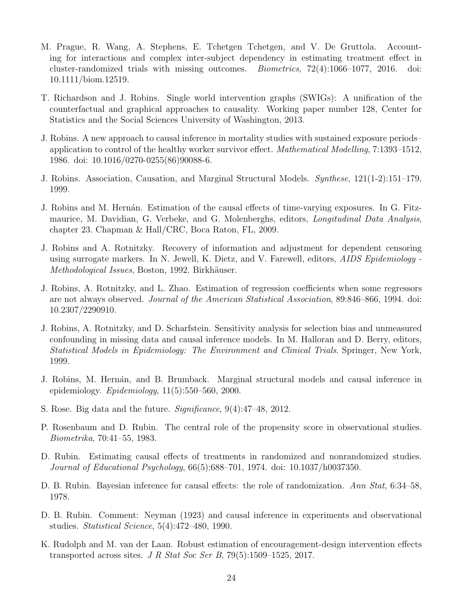- <span id="page-23-12"></span>M. Prague, R. Wang, A. Stephens, E. Tchetgen Tchetgen, and V. De Gruttola. Accounting for interactions and complex inter-subject dependency in estimating treatment effect in cluster-randomized trials with missing outcomes. Biometrics, 72(4):1066–1077, 2016. doi: 10.1111/biom.12519.
- <span id="page-23-4"></span>T. Richardson and J. Robins. Single world intervention graphs (SWIGs): A unification of the counterfactual and graphical approaches to causality. Working paper number 128, Center for Statistics and the Social Sciences University of Washington, 2013.
- <span id="page-23-1"></span>J. Robins. A new approach to causal inference in mortality studies with sustained exposure periods– application to control of the healthy worker survivor effect. Mathematical Modelling, 7:1393–1512, 1986. doi: 10.1016/0270-0255(86)90088-6.
- <span id="page-23-10"></span>J. Robins. Association, Causation, and Marginal Structural Models. Synthese, 121(1-2):151–179, 1999.
- <span id="page-23-3"></span>J. Robins and M. Hernán. Estimation of the causal effects of time-varying exposures. In G. Fitzmaurice, M. Davidian, G. Verbeke, and G. Molenberghs, editors, Longitudinal Data Analysis, chapter 23. Chapman & Hall/CRC, Boca Raton, FL, 2009.
- <span id="page-23-11"></span>J. Robins and A. Rotnitzky. Recovery of information and adjustment for dependent censoring using surrogate markers. In N. Jewell, K. Dietz, and V. Farewell, editors, AIDS Epidemiology - Methodological Issues, Boston, 1992. Birkhäuser.
- <span id="page-23-6"></span>J. Robins, A. Rotnitzky, and L. Zhao. Estimation of regression coefficients when some regressors are not always observed. Journal of the American Statistical Association, 89:846–866, 1994. doi: 10.2307/2290910.
- <span id="page-23-8"></span>J. Robins, A. Rotnitzky, and D. Scharfstein. Sensitivity analysis for selection bias and unmeasured confounding in missing data and causal inference models. In M. Halloran and D. Berry, editors, Statistical Models in Epidemiology: The Environment and Clinical Trials. Springer, New York, 1999.
- <span id="page-23-5"></span>J. Robins, M. Hernán, and B. Brumback. Marginal structural models and causal inference in epidemiology.  $Epidemiology$ ,  $11(5):550-560$ , 2000.
- <span id="page-23-7"></span>S. Rose. Big data and the future. Significance, 9(4):47–48, 2012.
- <span id="page-23-9"></span>P. Rosenbaum and D. Rubin. The central role of the propensity score in observational studies. Biometrika, 70:41–55, 1983.
- <span id="page-23-0"></span>D. Rubin. Estimating causal effects of treatments in randomized and nonrandomized studies. Journal of Educational Psychology, 66(5):688–701, 1974. doi: 10.1037/h0037350.
- <span id="page-23-13"></span>D. B. Rubin. Bayesian inference for causal effects: the role of randomization. Ann Stat, 6:34–58, 1978.
- <span id="page-23-2"></span>D. B. Rubin. Comment: Neyman (1923) and causal inference in experiments and observational studies. Statistical Science, 5(4):472–480, 1990.
- <span id="page-23-14"></span>K. Rudolph and M. van der Laan. Robust estimation of encouragement-design intervention effects transported across sites. J R Stat Soc Ser B,  $79(5):1509-1525$ , 2017.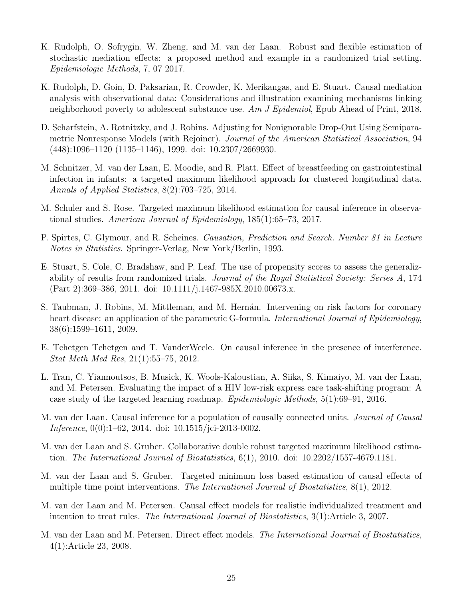- <span id="page-24-11"></span>K. Rudolph, O. Sofrygin, W. Zheng, and M. van der Laan. Robust and flexible estimation of stochastic mediation effects: a proposed method and example in a randomized trial setting. Epidemiologic Methods, 7, 07 2017.
- <span id="page-24-9"></span>K. Rudolph, D. Goin, D. Paksarian, R. Crowder, K. Merikangas, and E. Stuart. Causal mediation analysis with observational data: Considerations and illustration examining mechanisms linking neighborhood poverty to adolescent substance use. Am J Epidemiol, Epub Ahead of Print, 2018.
- <span id="page-24-2"></span>D. Scharfstein, A. Rotnitzky, and J. Robins. Adjusting for Nonignorable Drop-Out Using Semiparametric Nonresponse Models (with Rejoiner). Journal of the American Statistical Association, 94 (448):1096–1120 (1135–1146), 1999. doi: 10.2307/2669930.
- <span id="page-24-7"></span>M. Schnitzer, M. van der Laan, E. Moodie, and R. Platt. Effect of breastfeeding on gastrointestinal infection in infants: a targeted maximum likelihood approach for clustered longitudinal data. Annals of Applied Statistics, 8(2):703–725, 2014.
- <span id="page-24-4"></span>M. Schuler and S. Rose. Targeted maximum likelihood estimation for causal inference in observational studies. American Journal of Epidemiology, 185(1):65–73, 2017.
- <span id="page-24-0"></span>P. Spirtes, C. Glymour, and R. Scheines. Causation, Prediction and Search. Number 81 in Lecture Notes in Statistics. Springer-Verlag, New York/Berlin, 1993.
- <span id="page-24-14"></span>E. Stuart, S. Cole, C. Bradshaw, and P. Leaf. The use of propensity scores to assess the generalizability of results from randomized trials. Journal of the Royal Statistical Society: Series A, 174 (Part 2):369–386, 2011. doi: 10.1111/j.1467-985X.2010.00673.x.
- <span id="page-24-3"></span>S. Taubman, J. Robins, M. Mittleman, and M. Hernán. Intervening on risk factors for coronary heart disease: an application of the parametric G-formula. International Journal of Epidemiology, 38(6):1599–1611, 2009.
- <span id="page-24-12"></span>E. Tchetgen Tchetgen and T. VanderWeele. On causal inference in the presence of interference. Stat Meth Med Res, 21(1):55–75, 2012.
- <span id="page-24-1"></span>L. Tran, C. Yiannoutsos, B. Musick, K. Wools-Kaloustian, A. Siika, S. Kimaiyo, M. van der Laan, and M. Petersen. Evaluating the impact of a HIV low-risk express care task-shifting program: A case study of the targeted learning roadmap. Epidemiologic Methods, 5(1):69–91, 2016.
- <span id="page-24-13"></span>M. van der Laan. Causal inference for a population of causally connected units. Journal of Causal Inference, 0(0):1–62, 2014. doi: 10.1515/jci-2013-0002.
- <span id="page-24-5"></span>M. van der Laan and S. Gruber. Collaborative double robust targeted maximum likelihood estimation. The International Journal of Biostatistics, 6(1), 2010. doi: 10.2202/1557-4679.1181.
- <span id="page-24-6"></span>M. van der Laan and S. Gruber. Targeted minimum loss based estimation of causal effects of multiple time point interventions. The International Journal of Biostatistics, 8(1), 2012.
- <span id="page-24-10"></span>M. van der Laan and M. Petersen. Causal effect models for realistic individualized treatment and intention to treat rules. The International Journal of Biostatistics, 3(1):Article 3, 2007.
- <span id="page-24-8"></span>M. van der Laan and M. Petersen. Direct effect models. The International Journal of Biostatistics, 4(1):Article 23, 2008.